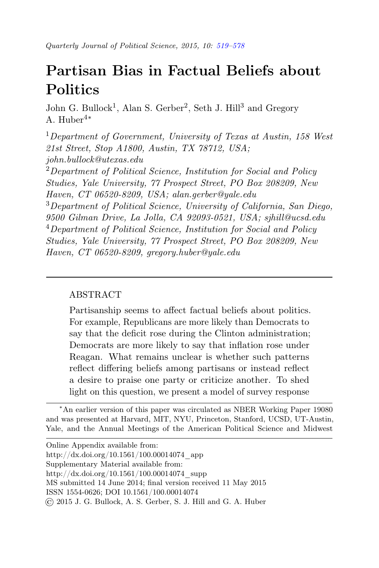# <span id="page-0-0"></span>Partisan Bias in Factual Beliefs about **Politics**

John G. Bullock<sup>1</sup>, Alan S. Gerber<sup>2</sup>, Seth J. Hill<sup>3</sup> and Gregory A. Huber4∗

 $1$ Department of Government, University of Texas at Austin, 158 West 21st Street, Stop A1800, Austin, TX 78712, USA; john.bullock@utexas.edu  $2$ Department of Political Science, Institution for Social and Policy

Studies, Yale University, 77 Prospect Street, PO Box 208209, New Haven, CT 06520-8209, USA; alan.gerber@yale.edu <sup>3</sup>Department of Political Science, University of California, San Diego, 9500 Gilman Drive, La Jolla, CA 92093-0521, USA; sjhill@ucsd.edu  $4$ Department of Political Science, Institution for Social and Policy Studies, Yale University, 77 Prospect Street, PO Box 208209, New Haven, CT 06520-8209, gregory.huber@yale.edu

# ABSTRACT

Partisanship seems to affect factual beliefs about politics. For example, Republicans are more likely than Democrats to say that the deficit rose during the Clinton administration; Democrats are more likely to say that inflation rose under Reagan. What remains unclear is whether such patterns reflect differing beliefs among partisans or instead reflect a desire to praise one party or criticize another. To shed light on this question, we present a model of survey response

<sup>∗</sup>An earlier version of this paper was circulated as NBER Working Paper 19080 and was presented at Harvard, MIT, NYU, Princeton, Stanford, UCSD, UT-Austin, Yale, and the Annual Meetings of the American Political Science and Midwest

| Online Appendix available from:                                |
|----------------------------------------------------------------|
| http://dx.doi.org/10.1561/100.00014074 app                     |
| Supplementary Material available from:                         |
| http://dx.doi.org/10.1561/100.00014074 supp                    |
| MS submitted 14 June 2014; final version received 11 May 2015  |
| ISSN 1554-0626; DOI 10.1561/100.00014074                       |
| © 2015 J. G. Bullock, A. S. Gerber, S. J. Hill and G. A. Huber |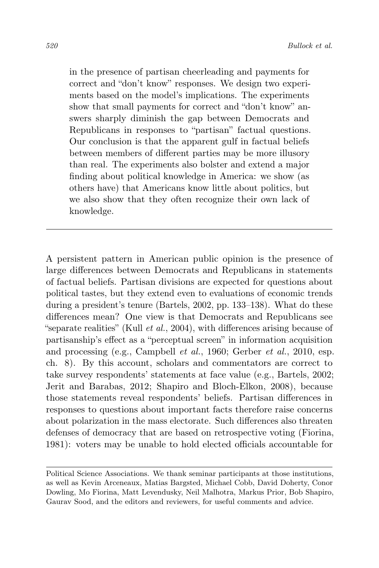in the presence of partisan cheerleading and payments for correct and "don't know" responses. We design two experiments based on the model's implications. The experiments show that small payments for correct and "don't know" answers sharply diminish the gap between Democrats and Republicans in responses to "partisan" factual questions. Our conclusion is that the apparent gulf in factual beliefs between members of different parties may be more illusory than real. The experiments also bolster and extend a major finding about political knowledge in America: we show (as others have) that Americans know little about politics, but we also show that they often recognize their own lack of knowledge.

A persistent pattern in American public opinion is the presence of large differences between Democrats and Republicans in statements of factual beliefs. Partisan divisions are expected for questions about political tastes, but they extend even to evaluations of economic trends during a president's tenure (Bartels, 2002, pp. 133–138). What do these differences mean? One view is that Democrats and Republicans see "separate realities" (Kull  $et al., 2004$ ), with differences arising because of partisanship's effect as a "perceptual screen" in information acquisition and processing (e.g., Campbell et al., 1960; Gerber et al., 2010, esp. ch. 8). By this account, scholars and commentators are correct to take survey respondents' statements at face value (e.g., Bartels, 2002; Jerit and Barabas, 2012; Shapiro and Bloch-Elkon, 2008), because those statements reveal respondents' beliefs. Partisan differences in responses to questions about important facts therefore raise concerns about polarization in the mass electorate. Such differences also threaten defenses of democracy that are based on retrospective voting (Fiorina, 1981): voters may be unable to hold elected officials accountable for

Political Science Associations. We thank seminar participants at those institutions, as well as Kevin Arceneaux, Matias Bargsted, Michael Cobb, David Doherty, Conor Dowling, Mo Fiorina, Matt Levendusky, Neil Malhotra, Markus Prior, Bob Shapiro, Gaurav Sood, and the editors and reviewers, for useful comments and advice.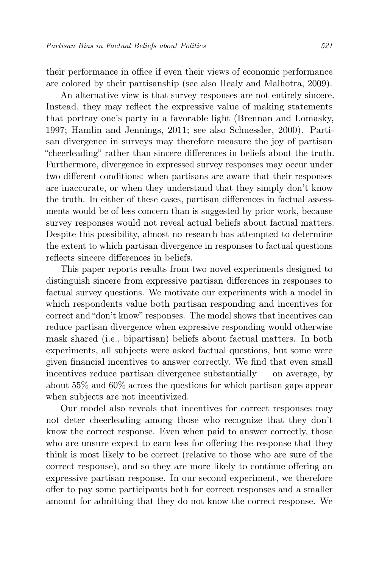their performance in office if even their views of economic performance are colored by their partisanship (see also Healy and Malhotra, 2009).

An alternative view is that survey responses are not entirely sincere. Instead, they may reflect the expressive value of making statements that portray one's party in a favorable light (Brennan and Lomasky, 1997; Hamlin and Jennings, 2011; see also Schuessler, 2000). Partisan divergence in surveys may therefore measure the joy of partisan "cheerleading" rather than sincere differences in beliefs about the truth. Furthermore, divergence in expressed survey responses may occur under two different conditions: when partisans are aware that their responses are inaccurate, or when they understand that they simply don't know the truth. In either of these cases, partisan differences in factual assessments would be of less concern than is suggested by prior work, because survey responses would not reveal actual beliefs about factual matters. Despite this possibility, almost no research has attempted to determine the extent to which partisan divergence in responses to factual questions reflects sincere differences in beliefs.

This paper reports results from two novel experiments designed to distinguish sincere from expressive partisan differences in responses to factual survey questions. We motivate our experiments with a model in which respondents value both partisan responding and incentives for correct and "don't know" responses. The model shows that incentives can reduce partisan divergence when expressive responding would otherwise mask shared (i.e., bipartisan) beliefs about factual matters. In both experiments, all subjects were asked factual questions, but some were given financial incentives to answer correctly. We find that even small incentives reduce partisan divergence substantially  $\sim$  on average, by about 55% and 60% across the questions for which partisan gaps appear when subjects are not incentivized.

Our model also reveals that incentives for correct responses may not deter cheerleading among those who recognize that they don't know the correct response. Even when paid to answer correctly, those who are unsure expect to earn less for offering the response that they think is most likely to be correct (relative to those who are sure of the correct response), and so they are more likely to continue offering an expressive partisan response. In our second experiment, we therefore offer to pay some participants both for correct responses and a smaller amount for admitting that they do not know the correct response. We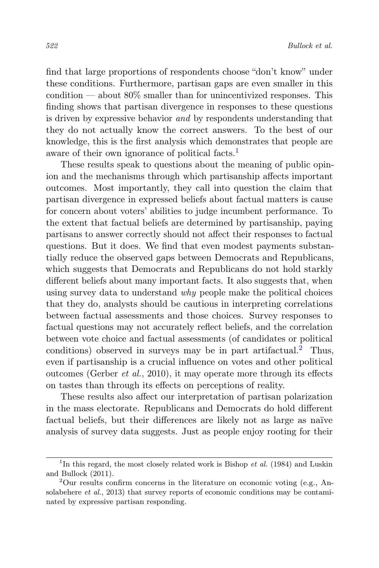find that large proportions of respondents choose "don't know" under these conditions. Furthermore, partisan gaps are even smaller in this condition — about  $80\%$  smaller than for unincentivized responses. This finding shows that partisan divergence in responses to these questions is driven by expressive behavior and by respondents understanding that they do not actually know the correct answers. To the best of our knowledge, this is the first analysis which demonstrates that people are aware of their own ignorance of political facts.<sup>[1](#page-3-0)</sup>

These results speak to questions about the meaning of public opinion and the mechanisms through which partisanship affects important outcomes. Most importantly, they call into question the claim that partisan divergence in expressed beliefs about factual matters is cause for concern about voters' abilities to judge incumbent performance. To the extent that factual beliefs are determined by partisanship, paying partisans to answer correctly should not affect their responses to factual questions. But it does. We find that even modest payments substantially reduce the observed gaps between Democrats and Republicans, which suggests that Democrats and Republicans do not hold starkly different beliefs about many important facts. It also suggests that, when using survey data to understand why people make the political choices that they do, analysts should be cautious in interpreting correlations between factual assessments and those choices. Survey responses to factual questions may not accurately reflect beliefs, and the correlation between vote choice and factual assessments (of candidates or political conditions) observed in surveys may be in part artifactual.<sup>[2](#page-3-1)</sup> Thus, even if partisanship is a crucial influence on votes and other political outcomes (Gerber et al., 2010), it may operate more through its effects on tastes than through its effects on perceptions of reality.

These results also affect our interpretation of partisan polarization in the mass electorate. Republicans and Democrats do hold different factual beliefs, but their differences are likely not as large as naïve analysis of survey data suggests. Just as people enjoy rooting for their

<span id="page-3-0"></span><sup>&</sup>lt;sup>1</sup>In this regard, the most closely related work is Bishop *et al.* (1984) and Luskin and Bullock (2011).

<span id="page-3-1"></span><sup>&</sup>lt;sup>2</sup>Our results confirm concerns in the literature on economic voting (e.g., Ansolabehere et al., 2013) that survey reports of economic conditions may be contaminated by expressive partisan responding.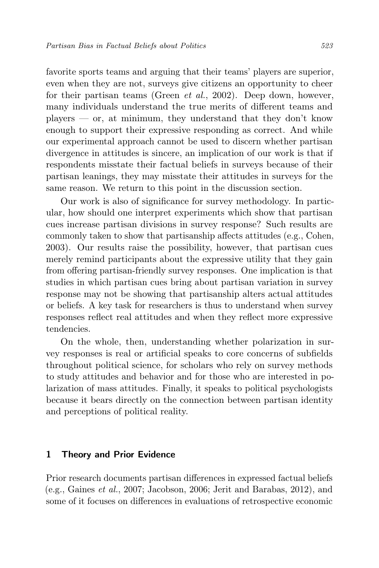favorite sports teams and arguing that their teams' players are superior, even when they are not, surveys give citizens an opportunity to cheer for their partisan teams (Green et al., 2002). Deep down, however, many individuals understand the true merits of different teams and  $p$ layers — or, at minimum, they understand that they don't know enough to support their expressive responding as correct. And while our experimental approach cannot be used to discern whether partisan divergence in attitudes is sincere, an implication of our work is that if respondents misstate their factual beliefs in surveys because of their partisan leanings, they may misstate their attitudes in surveys for the same reason. We return to this point in the discussion section.

Our work is also of significance for survey methodology. In particular, how should one interpret experiments which show that partisan cues increase partisan divisions in survey response? Such results are commonly taken to show that partisanship affects attitudes (e.g., Cohen, 2003). Our results raise the possibility, however, that partisan cues merely remind participants about the expressive utility that they gain from offering partisan-friendly survey responses. One implication is that studies in which partisan cues bring about partisan variation in survey response may not be showing that partisanship alters actual attitudes or beliefs. A key task for researchers is thus to understand when survey responses reflect real attitudes and when they reflect more expressive tendencies.

On the whole, then, understanding whether polarization in survey responses is real or artificial speaks to core concerns of subfields throughout political science, for scholars who rely on survey methods to study attitudes and behavior and for those who are interested in polarization of mass attitudes. Finally, it speaks to political psychologists because it bears directly on the connection between partisan identity and perceptions of political reality.

#### 1 Theory and Prior Evidence

Prior research documents partisan differences in expressed factual beliefs (e.g., Gaines et al., 2007; Jacobson, 2006; Jerit and Barabas, 2012), and some of it focuses on differences in evaluations of retrospective economic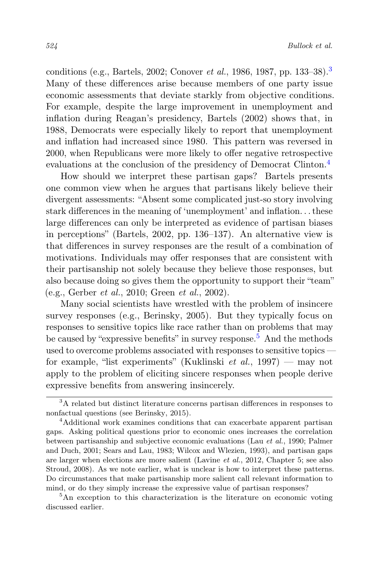conditions (e.g., Bartels, 2002; Conover et al., 1986, 1987, pp. 133–38).[3](#page-5-0) Many of these differences arise because members of one party issue economic assessments that deviate starkly from objective conditions. For example, despite the large improvement in unemployment and inflation during Reagan's presidency, Bartels (2002) shows that, in 1988, Democrats were especially likely to report that unemployment and inflation had increased since 1980. This pattern was reversed in 2000, when Republicans were more likely to offer negative retrospective evaluations at the conclusion of the presidency of Democrat Clinton.<sup>[4](#page-5-1)</sup>

How should we interpret these partisan gaps? Bartels presents one common view when he argues that partisans likely believe their divergent assessments: "Absent some complicated just-so story involving stark differences in the meaning of 'unemployment' and inflation. . . these large differences can only be interpreted as evidence of partisan biases in perceptions" (Bartels, 2002, pp. 136–137). An alternative view is that differences in survey responses are the result of a combination of motivations. Individuals may offer responses that are consistent with their partisanship not solely because they believe those responses, but also because doing so gives them the opportunity to support their "team" (e.g., Gerber et al., 2010; Green et al., 2002).

Many social scientists have wrestled with the problem of insincere survey responses (e.g., Berinsky, 2005). But they typically focus on responses to sensitive topics like race rather than on problems that may be caused by "expressive benefits" in survey response.<sup>[5](#page-5-2)</sup> And the methods used to overcome problems associated with responses to sensitive topics for example, "list experiments" (Kuklinski *et al.*, 1997) — may not apply to the problem of eliciting sincere responses when people derive expressive benefits from answering insincerely.

<span id="page-5-2"></span><sup>5</sup>An exception to this characterization is the literature on economic voting discussed earlier.

<span id="page-5-0"></span><sup>3</sup>A related but distinct literature concerns partisan differences in responses to nonfactual questions (see Berinsky, 2015).

<span id="page-5-1"></span><sup>4</sup>Additional work examines conditions that can exacerbate apparent partisan gaps. Asking political questions prior to economic ones increases the correlation between partisanship and subjective economic evaluations (Lau et al., 1990; Palmer and Duch, 2001; Sears and Lau, 1983; Wilcox and Wlezien, 1993), and partisan gaps are larger when elections are more salient (Lavine et al., 2012, Chapter 5; see also Stroud, 2008). As we note earlier, what is unclear is how to interpret these patterns. Do circumstances that make partisanship more salient call relevant information to mind, or do they simply increase the expressive value of partisan responses?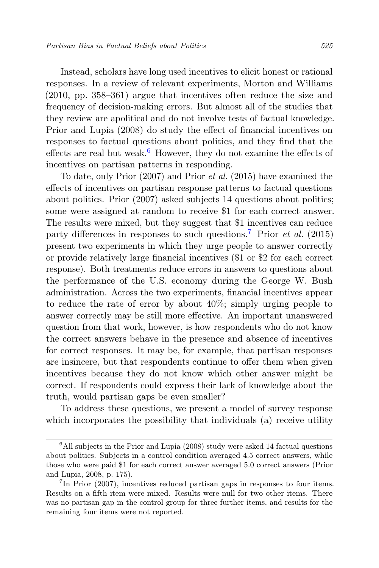Instead, scholars have long used incentives to elicit honest or rational responses. In a review of relevant experiments, Morton and Williams (2010, pp. 358–361) argue that incentives often reduce the size and frequency of decision-making errors. But almost all of the studies that they review are apolitical and do not involve tests of factual knowledge. Prior and Lupia (2008) do study the effect of financial incentives on responses to factual questions about politics, and they find that the effects are real but weak.<sup>[6](#page-6-0)</sup> However, they do not examine the effects of incentives on partisan patterns in responding.

To date, only Prior (2007) and Prior et al. (2015) have examined the effects of incentives on partisan response patterns to factual questions about politics. Prior (2007) asked subjects 14 questions about politics; some were assigned at random to receive \$1 for each correct answer. The results were mixed, but they suggest that \$1 incentives can reduce party differences in responses to such questions.<sup>[7](#page-6-1)</sup> Prior *et al.* (2015) present two experiments in which they urge people to answer correctly or provide relatively large financial incentives (\$1 or \$2 for each correct response). Both treatments reduce errors in answers to questions about the performance of the U.S. economy during the George W. Bush administration. Across the two experiments, financial incentives appear to reduce the rate of error by about 40%; simply urging people to answer correctly may be still more effective. An important unanswered question from that work, however, is how respondents who do not know the correct answers behave in the presence and absence of incentives for correct responses. It may be, for example, that partisan responses are insincere, but that respondents continue to offer them when given incentives because they do not know which other answer might be correct. If respondents could express their lack of knowledge about the truth, would partisan gaps be even smaller?

To address these questions, we present a model of survey response which incorporates the possibility that individuals (a) receive utility

<span id="page-6-0"></span> ${}^{6}$ All subjects in the Prior and Lupia (2008) study were asked 14 factual questions about politics. Subjects in a control condition averaged 4.5 correct answers, while those who were paid \$1 for each correct answer averaged 5.0 correct answers (Prior and Lupia, 2008, p. 175).

<span id="page-6-1"></span><sup>&</sup>lt;sup>7</sup>In Prior (2007), incentives reduced partisan gaps in responses to four items. Results on a fifth item were mixed. Results were null for two other items. There was no partisan gap in the control group for three further items, and results for the remaining four items were not reported.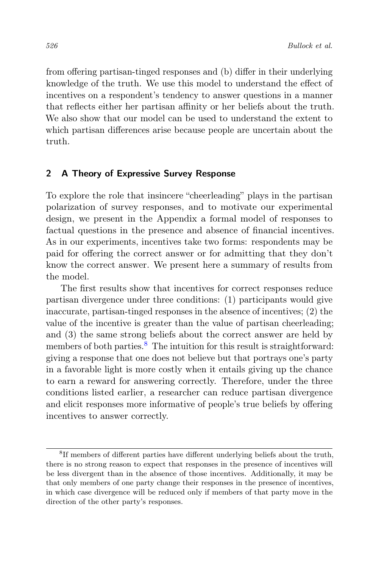from offering partisan-tinged responses and (b) differ in their underlying knowledge of the truth. We use this model to understand the effect of incentives on a respondent's tendency to answer questions in a manner that reflects either her partisan affinity or her beliefs about the truth. We also show that our model can be used to understand the extent to which partisan differences arise because people are uncertain about the truth.

## 2 A Theory of Expressive Survey Response

To explore the role that insincere "cheerleading" plays in the partisan polarization of survey responses, and to motivate our experimental design, we present in the Appendix a formal model of responses to factual questions in the presence and absence of financial incentives. As in our experiments, incentives take two forms: respondents may be paid for offering the correct answer or for admitting that they don't know the correct answer. We present here a summary of results from the model.

The first results show that incentives for correct responses reduce partisan divergence under three conditions: (1) participants would give inaccurate, partisan-tinged responses in the absence of incentives; (2) the value of the incentive is greater than the value of partisan cheerleading; and (3) the same strong beliefs about the correct answer are held by members of both parties.<sup>[8](#page-7-0)</sup> The intuition for this result is straightforward: giving a response that one does not believe but that portrays one's party in a favorable light is more costly when it entails giving up the chance to earn a reward for answering correctly. Therefore, under the three conditions listed earlier, a researcher can reduce partisan divergence and elicit responses more informative of people's true beliefs by offering incentives to answer correctly.

<span id="page-7-0"></span><sup>&</sup>lt;sup>8</sup>If members of different parties have different underlying beliefs about the truth, there is no strong reason to expect that responses in the presence of incentives will be less divergent than in the absence of those incentives. Additionally, it may be that only members of one party change their responses in the presence of incentives, in which case divergence will be reduced only if members of that party move in the direction of the other party's responses.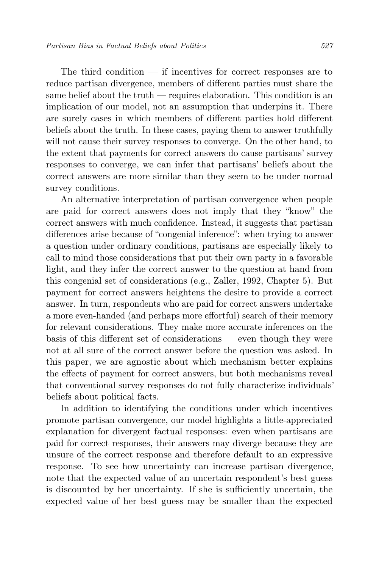The third condition — if incentives for correct responses are to reduce partisan divergence, members of different parties must share the same belief about the truth — requires elaboration. This condition is an implication of our model, not an assumption that underpins it. There are surely cases in which members of different parties hold different beliefs about the truth. In these cases, paying them to answer truthfully will not cause their survey responses to converge. On the other hand, to the extent that payments for correct answers do cause partisans' survey responses to converge, we can infer that partisans' beliefs about the correct answers are more similar than they seem to be under normal survey conditions.

An alternative interpretation of partisan convergence when people are paid for correct answers does not imply that they "know" the correct answers with much confidence. Instead, it suggests that partisan differences arise because of "congenial inference": when trying to answer a question under ordinary conditions, partisans are especially likely to call to mind those considerations that put their own party in a favorable light, and they infer the correct answer to the question at hand from this congenial set of considerations (e.g., Zaller, 1992, Chapter 5). But payment for correct answers heightens the desire to provide a correct answer. In turn, respondents who are paid for correct answers undertake a more even-handed (and perhaps more effortful) search of their memory for relevant considerations. They make more accurate inferences on the basis of this different set of considerations — even though they were not at all sure of the correct answer before the question was asked. In this paper, we are agnostic about which mechanism better explains the effects of payment for correct answers, but both mechanisms reveal that conventional survey responses do not fully characterize individuals' beliefs about political facts.

In addition to identifying the conditions under which incentives promote partisan convergence, our model highlights a little-appreciated explanation for divergent factual responses: even when partisans are paid for correct responses, their answers may diverge because they are unsure of the correct response and therefore default to an expressive response. To see how uncertainty can increase partisan divergence, note that the expected value of an uncertain respondent's best guess is discounted by her uncertainty. If she is sufficiently uncertain, the expected value of her best guess may be smaller than the expected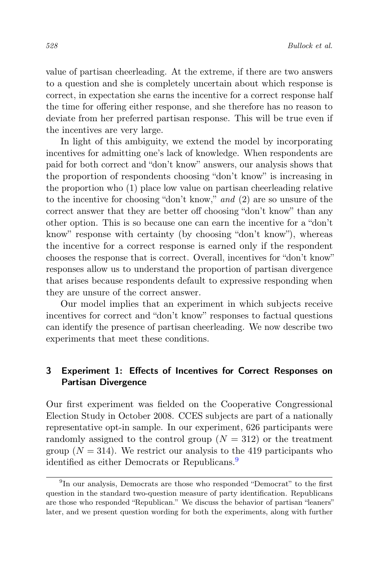value of partisan cheerleading. At the extreme, if there are two answers to a question and she is completely uncertain about which response is correct, in expectation she earns the incentive for a correct response half the time for offering either response, and she therefore has no reason to deviate from her preferred partisan response. This will be true even if the incentives are very large.

In light of this ambiguity, we extend the model by incorporating incentives for admitting one's lack of knowledge. When respondents are paid for both correct and "don't know" answers, our analysis shows that the proportion of respondents choosing "don't know" is increasing in the proportion who (1) place low value on partisan cheerleading relative to the incentive for choosing "don't know," and (2) are so unsure of the correct answer that they are better off choosing "don't know" than any other option. This is so because one can earn the incentive for a "don't know" response with certainty (by choosing "don't know"), whereas the incentive for a correct response is earned only if the respondent chooses the response that is correct. Overall, incentives for "don't know" responses allow us to understand the proportion of partisan divergence that arises because respondents default to expressive responding when they are unsure of the correct answer.

Our model implies that an experiment in which subjects receive incentives for correct and "don't know" responses to factual questions can identify the presence of partisan cheerleading. We now describe two experiments that meet these conditions.

# 3 Experiment 1: Effects of Incentives for Correct Responses on Partisan Divergence

Our first experiment was fielded on the Cooperative Congressional Election Study in October 2008. CCES subjects are part of a nationally representative opt-in sample. In our experiment, 626 participants were randomly assigned to the control group  $(N = 312)$  or the treatment group  $(N = 314)$ . We restrict our analysis to the 419 participants who identified as either Democrats or Republicans.<sup>[9](#page-9-0)</sup>

<span id="page-9-0"></span><sup>&</sup>lt;sup>9</sup>In our analysis, Democrats are those who responded "Democrat" to the first question in the standard two-question measure of party identification. Republicans are those who responded "Republican." We discuss the behavior of partisan "leaners" later, and we present question wording for both the experiments, along with further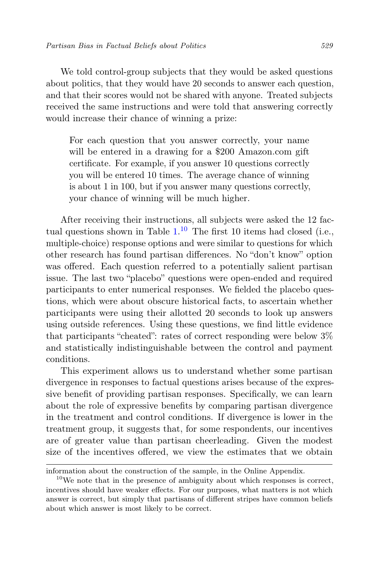We told control-group subjects that they would be asked questions about politics, that they would have 20 seconds to answer each question, and that their scores would not be shared with anyone. Treated subjects received the same instructions and were told that answering correctly would increase their chance of winning a prize:

For each question that you answer correctly, your name will be entered in a drawing for a \$200 Amazon.com gift certificate. For example, if you answer 10 questions correctly you will be entered 10 times. The average chance of winning is about 1 in 100, but if you answer many questions correctly, your chance of winning will be much higher.

After receiving their instructions, all subjects were asked the 12 factual questions shown in Table  $1<sup>10</sup>$  $1<sup>10</sup>$  $1<sup>10</sup>$  The first 10 items had closed (i.e., multiple-choice) response options and were similar to questions for which other research has found partisan differences. No "don't know" option was offered. Each question referred to a potentially salient partisan issue. The last two "placebo" questions were open-ended and required participants to enter numerical responses. We fielded the placebo questions, which were about obscure historical facts, to ascertain whether participants were using their allotted 20 seconds to look up answers using outside references. Using these questions, we find little evidence that participants "cheated": rates of correct responding were below  $3\%$ and statistically indistinguishable between the control and payment conditions.

This experiment allows us to understand whether some partisan divergence in responses to factual questions arises because of the expressive benefit of providing partisan responses. Specifically, we can learn about the role of expressive benefits by comparing partisan divergence in the treatment and control conditions. If divergence is lower in the treatment group, it suggests that, for some respondents, our incentives are of greater value than partisan cheerleading. Given the modest size of the incentives offered, we view the estimates that we obtain

information about the construction of the sample, in the Online Appendix.

<span id="page-10-0"></span> $10$ We note that in the presence of ambiguity about which responses is correct, incentives should have weaker effects. For our purposes, what matters is not which answer is correct, but simply that partisans of different stripes have common beliefs about which answer is most likely to be correct.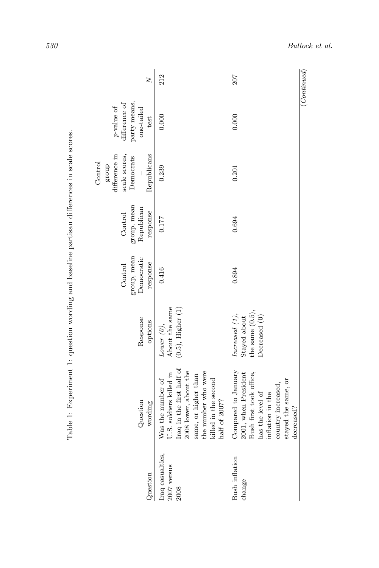| Question                                  | Question<br>wording                                                                                                                                                                        | Response<br>options                                                                                                           | group, mean<br>Democratic<br>response<br>Control | group, mean<br>Republican<br>response<br>Control | difference in<br>scale scores,<br>Republicans<br>Democrats<br>Control<br>group | party means,<br>difference of<br>$p\text{-value of}$<br>one-tailed<br>test | $\geq$ |
|-------------------------------------------|--------------------------------------------------------------------------------------------------------------------------------------------------------------------------------------------|-------------------------------------------------------------------------------------------------------------------------------|--------------------------------------------------|--------------------------------------------------|--------------------------------------------------------------------------------|----------------------------------------------------------------------------|--------|
| Iraq casualties,<br>$2007$ versus<br>2008 | Iraq in the first half of<br>2008 lower, about the<br>the number who were<br>U.S. soldiers killed in<br>same, or higher than<br>Was the number of<br>killed in the second<br>half of 2007? | About the same<br>$(0.5)$ , Higher $(1)$<br>Lower $(0)$ ,                                                                     | 0.416                                            | 0.177                                            | 0.239                                                                          | 0.000                                                                      | 212    |
| Bush inflation<br>change                  | Compared to January<br>2001, when President<br>Bush first took office,<br>stayed the same, or<br>country increased,<br>has the level of<br>inflation in the<br>decreased?                  | $\begin{array}{ll} \text{Stayed about} \\ \text{the same} \ (0.5), \end{array}$<br>$\text{increased}$ $(1),$<br>Decreased (0) | 0.894                                            | 0.694                                            | 0.201                                                                          | 0.000                                                                      | 207    |

Table 1: Experiment 1: question wording and baseline partisan differences in scale scores. Table 1: Experiment 1: question wording and baseline partisan differences in scale scores.

<span id="page-11-0"></span>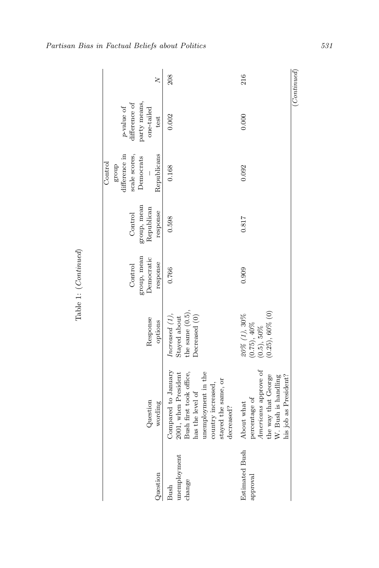| $\left(Continued\right)$ |                                                                            |                                                                                |                                                  |                                                  |                                                                           |                                                                                                                                                                              |                                   |
|--------------------------|----------------------------------------------------------------------------|--------------------------------------------------------------------------------|--------------------------------------------------|--------------------------------------------------|---------------------------------------------------------------------------|------------------------------------------------------------------------------------------------------------------------------------------------------------------------------|-----------------------------------|
| 216                      | 0.000                                                                      | 0.092                                                                          | 0.817                                            | 0.909                                            | $(0.5)$ , 50%<br>$(0.25)$ , 60% $(0)$<br>20% (1), 30%<br>$0.75$ ), $40\%$ | Americans approve of<br>the way that George<br>his job as President?<br>W. Bush is handling<br>percentage of<br>About what                                                   | <b>Estimated Bush</b><br>approval |
| 208                      | 0.002                                                                      | 0.168                                                                          | 0.598                                            | 0.766                                            | the same $(0.5)$<br>Increased (1),<br>Decreased (0)<br>Stayed about       | Compared to January<br>Bush first took office,<br>unemployment in the<br>2001, when President<br>stayed the same, or<br>country increased,<br>has the level of<br>decreased? | unemployment<br>change<br>Bush    |
| $\geq$                   | party means,<br>difference of<br>$p\text{-value of}$<br>one-tailed<br>test | difference in<br>scale scores,<br>Republicans<br>Democrats<br>Control<br>group | group, mean<br>Republican<br>response<br>Control | group, mean<br>Democratic<br>Control<br>response | Response<br>options                                                       | Question<br>wording                                                                                                                                                          | Question                          |

Partisan Bias in Factual Beliefs about Politics 531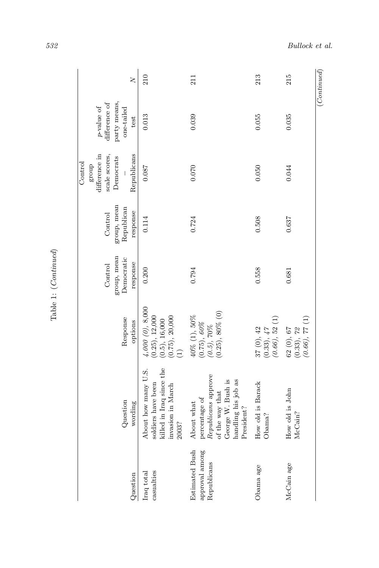| $\geq$                                                                                                     | 210                                                                                                 | 211                                                                                                                             | 213                                                                          | 215                                                 | (Continued) |
|------------------------------------------------------------------------------------------------------------|-----------------------------------------------------------------------------------------------------|---------------------------------------------------------------------------------------------------------------------------------|------------------------------------------------------------------------------|-----------------------------------------------------|-------------|
| difference of<br>party means,<br>$p$ -value of<br>$one$ -tailed<br>test                                    | 0.013                                                                                               | 0.039                                                                                                                           | 0.055                                                                        | 0.035                                               |             |
| difference in<br>Republicans<br>scale scores,<br>Democrats<br>Control<br>group<br>$\overline{\phantom{a}}$ | 0.087                                                                                               | 0.070                                                                                                                           | 0.050                                                                        | 0.044                                               |             |
| group, mean<br>Republican<br>response<br>Control                                                           | 0.114                                                                                               | 0.724                                                                                                                           | 0.508                                                                        | 0.637                                               |             |
| group, mean<br>Democratic<br>response<br>Control                                                           | 0.200                                                                                               | 0.794                                                                                                                           | 0.558                                                                        | 0.681                                               |             |
| Response<br>options                                                                                        | 4,000(0), 8,000<br>$(0.25)$ , 12,000<br>$(0.5), 16,000$<br>$(0.75), 20,000$<br>$(1)$                | $(0.5),\,70\%$ $(0.25),\,80\%\ (0)$<br>$40\%$ (1), $50\%$ (0.75), $60\%$                                                        | $\begin{array}{c} 37\ (0),\ 42\\ (0.33),\ 47\\ (0.66),\ 52\ (1) \end{array}$ | $(0.66)$ , 77 (1)<br>$62$ (0), $67$ $(0.33)$ , $72$ |             |
| Question<br>wording                                                                                        | killed in Iraq since the<br>About how many U.S.<br>soldiers have been<br>invasion in March<br>2003? | Republicans approve<br>George W. Bush is<br>handling his job as<br>of the way that<br>percentage of<br>About what<br>President? | How old is Barack<br>Obama?                                                  | How old is John<br>McCain?                          |             |
| Question                                                                                                   | casualties<br>Iraq total                                                                            | Estimated Bush<br>approval among<br>Republicans                                                                                 | Obama age                                                                    | McCain age                                          |             |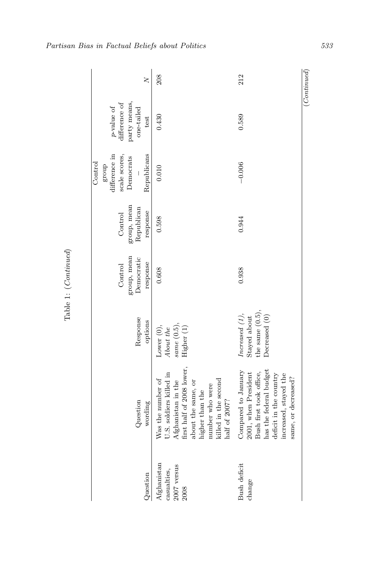|                                                     |                                                                                                                                                                                                      |                                                                               |                                                  |                                                  | Control                                                             |                                                                            |                         |
|-----------------------------------------------------|------------------------------------------------------------------------------------------------------------------------------------------------------------------------------------------------------|-------------------------------------------------------------------------------|--------------------------------------------------|--------------------------------------------------|---------------------------------------------------------------------|----------------------------------------------------------------------------|-------------------------|
| Question                                            | Question<br>wording                                                                                                                                                                                  | Response<br>options                                                           | group, mean<br>Democratic<br>response<br>Control | group, mean<br>Republican<br>response<br>Control | difference in<br>scale scores,<br>Republicans<br>Democrats<br>group | party means,<br>difference of<br>$p\text{-value of}$<br>one-tailed<br>test | $\overline{\mathsf{X}}$ |
| Afghanistan<br>$2007$ versus<br>casualties,<br>2008 | first half of 2008 lower,<br>J.S. soldiers killed in<br>Was the number of<br>Afghanistan in the<br>killed in the second<br>about the same, or<br>number who were<br>nigher than the<br>half of 2007? | Lower (0),<br>About the<br>same(0.5)<br>Higher (1)                            | 0.608                                            | 0.598                                            | 0.010                                                               | 0.430                                                                      | 208                     |
| Bush deficit<br>change                              | has the federal budget<br>Compared to January<br>2001, when President<br>Bush first took office,<br>deficit in the country<br>increased, stayed the<br>same, or decreased?                           | the same $(0.5)$ .<br>$\text{Increase} (1),$<br>Decreased (0)<br>Stayed about | 0.938                                            | 0.944                                            | $-0.006$                                                            | 0.589                                                                      | 212                     |
|                                                     |                                                                                                                                                                                                      |                                                                               |                                                  |                                                  |                                                                     |                                                                            | $_{(Continued)}$        |

Partisan Bias in Factual Beliefs about Politics 533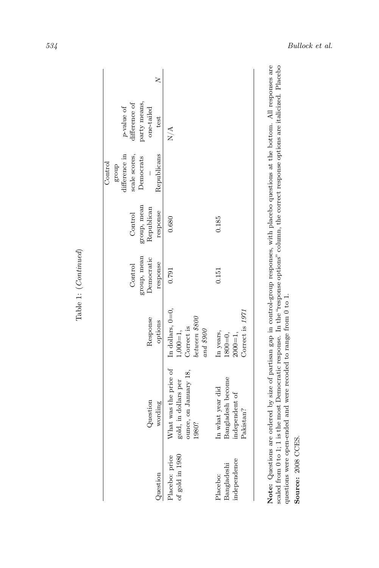|                                         |                                                                                                                          |                                                            |                                                  |                                                  | Control                                                             |                                                                            |  |
|-----------------------------------------|--------------------------------------------------------------------------------------------------------------------------|------------------------------------------------------------|--------------------------------------------------|--------------------------------------------------|---------------------------------------------------------------------|----------------------------------------------------------------------------|--|
| Question                                | Question<br>wording                                                                                                      | Response<br>options                                        | group, mean<br>Democratic<br>response<br>Control | group, mean<br>Republican<br>response<br>Control | difference in<br>Republicans<br>scale scores,<br>Democrats<br>group | difference of<br>party means,<br>$p\text{-value of}$<br>one-tailed<br>test |  |
|                                         |                                                                                                                          |                                                            |                                                  |                                                  |                                                                     |                                                                            |  |
| of gold in 1980<br>Placebo: price       | What was the price of In dollars, $0=0$ ,<br>ounce, on January 18,<br>gold, in dollars per<br>1980?                      | between \$800<br>Correct is<br>$and$ \$900<br>$1,000 = 1,$ | 0.791                                            | 0.680                                            |                                                                     | $\mathbb{N}/\mathbb{A}$                                                    |  |
| independence<br>Bangladeshi<br>Placebo: | Bangladesh become<br>In what year did<br>independent of<br>Pakistan?                                                     | Correct is 1971<br>In years,<br>$2000 = 1,$<br>$1800 = 0,$ | 0.151                                            | 0.185                                            |                                                                     |                                                                            |  |
|                                         | Note: Cusetione are ordered by either and in cortrol eroun removed with placebook cusetione at the bottom All removement |                                                            |                                                  |                                                  |                                                                     |                                                                            |  |

Note: Questions are ordered by size of partisan gap in control-group responses, with placebo questions at the bottom. All responses are scaled from 0 to 1; 1 is the most Democratic response. In the "response options" colu Note: Questions are ordered by size of partisan gap in control-group responses, with placebo questions at the bottom. All responses are scaled from 0 to 1; 1 is the most Democratic response. In the "response options" column, the correct response options are italicized. Placebo questions were open-ended and were recoded to range from  $0$  to  $1.$ questions were open-ended and were recoded to range from 0 to 1.

Source: 2008 CCES. Source: 2008 CCES.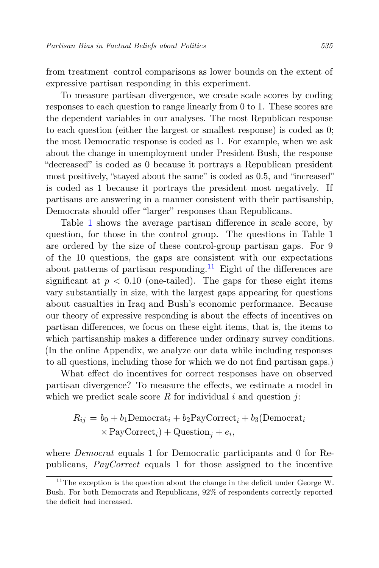from treatment–control comparisons as lower bounds on the extent of expressive partisan responding in this experiment.

To measure partisan divergence, we create scale scores by coding responses to each question to range linearly from 0 to 1. These scores are the dependent variables in our analyses. The most Republican response to each question (either the largest or smallest response) is coded as 0; the most Democratic response is coded as 1. For example, when we ask about the change in unemployment under President Bush, the response "decreased" is coded as 0 because it portrays a Republican president most positively, "stayed about the same" is coded as 0.5, and "increased" is coded as 1 because it portrays the president most negatively. If partisans are answering in a manner consistent with their partisanship, Democrats should offer "larger" responses than Republicans.

Table [1](#page-11-0) shows the average partisan difference in scale score, by question, for those in the control group. The questions in Table 1 are ordered by the size of these control-group partisan gaps. For 9 of the 10 questions, the gaps are consistent with our expectations about patterns of partisan responding.<sup>[11](#page-16-0)</sup> Eight of the differences are significant at  $p < 0.10$  (one-tailed). The gaps for these eight items vary substantially in size, with the largest gaps appearing for questions about casualties in Iraq and Bush's economic performance. Because our theory of expressive responding is about the effects of incentives on partisan differences, we focus on these eight items, that is, the items to which partisanship makes a difference under ordinary survey conditions. (In the online Appendix, we analyze our data while including responses to all questions, including those for which we do not find partisan gaps.)

What effect do incentives for correct responses have on observed partisan divergence? To measure the effects, we estimate a model in which we predict scale score  $R$  for individual  $i$  and question  $j$ :

$$
R_{ij} = b_0 + b_1 \text{Democrat}_i + b_2 \text{PayCorrect}_i + b_3(\text{Democrat}_i)
$$
  
× PayCorrect}\_i) + Question\_j + e\_i,

where *Democrat* equals 1 for Democratic participants and 0 for Republicans, PayCorrect equals 1 for those assigned to the incentive

<span id="page-16-0"></span> $11$ <sup>11</sup>The exception is the question about the change in the deficit under George W. Bush. For both Democrats and Republicans, 92% of respondents correctly reported the deficit had increased.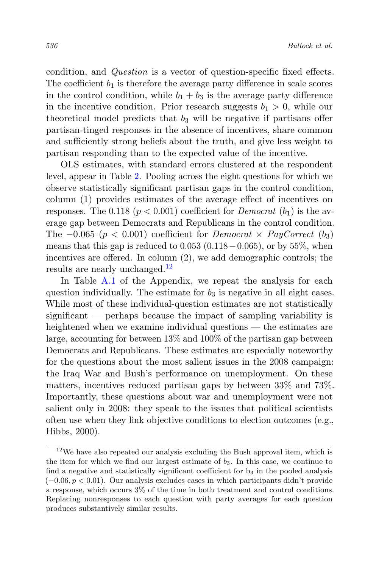condition, and Question is a vector of question-specific fixed effects. The coefficient  $b_1$  is therefore the average party difference in scale scores in the control condition, while  $b_1 + b_3$  is the average party difference in the incentive condition. Prior research suggests  $b_1 > 0$ , while our theoretical model predicts that  $b_3$  will be negative if partisans offer partisan-tinged responses in the absence of incentives, share common and sufficiently strong beliefs about the truth, and give less weight to partisan responding than to the expected value of the incentive.

OLS estimates, with standard errors clustered at the respondent level, appear in Table [2.](#page-18-0) Pooling across the eight questions for which we observe statistically significant partisan gaps in the control condition, column (1) provides estimates of the average effect of incentives on responses. The 0.118 ( $p < 0.001$ ) coefficient for *Democrat* ( $b<sub>1</sub>$ ) is the average gap between Democrats and Republicans in the control condition. The  $-0.065$  ( $p < 0.001$ ) coefficient for *Democrat*  $\times$  *PayCorrect* (b<sub>3</sub>) means that this gap is reduced to  $0.053$  ( $0.118-0.065$ ), or by 55%, when incentives are offered. In column (2), we add demographic controls; the results are nearly unchanged.[12](#page-17-0)

In Table [A.1](#page-54-0) of the Appendix, we repeat the analysis for each question individually. The estimate for  $b_3$  is negative in all eight cases. While most of these individual-question estimates are not statistically significant — perhaps because the impact of sampling variability is heightened when we examine individual questions — the estimates are large, accounting for between 13% and 100% of the partisan gap between Democrats and Republicans. These estimates are especially noteworthy for the questions about the most salient issues in the 2008 campaign: the Iraq War and Bush's performance on unemployment. On these matters, incentives reduced partisan gaps by between 33% and 73%. Importantly, these questions about war and unemployment were not salient only in 2008: they speak to the issues that political scientists often use when they link objective conditions to election outcomes (e.g., Hibbs, 2000).

<span id="page-17-0"></span> $^{12}\mathrm{We}$  have also repeated our analysis excluding the Bush approval item, which is the item for which we find our largest estimate of  $b_3$ . In this case, we continue to find a negative and statistically significant coefficient for  $b_3$  in the pooled analysis  $(-0.06, p < 0.01)$ . Our analysis excludes cases in which participants didn't provide a response, which occurs 3% of the time in both treatment and control conditions. Replacing nonresponses to each question with party averages for each question produces substantively similar results.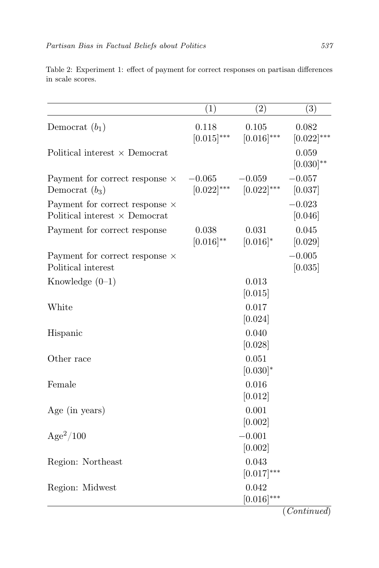|                                                                        | (1)                         | $\overline{(2)}$          | (3)                      |
|------------------------------------------------------------------------|-----------------------------|---------------------------|--------------------------|
| Democrat $(b_1)$                                                       | 0.118<br>$[0.015]^{***}$    | 0.105<br>$[0.016]^{***}$  | 0.082<br>$[0.022]^{***}$ |
| Political interest $\times$ Democrat                                   |                             |                           | 0.059<br>$[0.030]^{**}$  |
| Payment for correct response $\times$<br>Democrat $(b_3)$              | $-0.065$<br>$[0.022]^{***}$ | $-0.059$<br>$[0.022]$ *** | $-0.057$<br>[0.037]      |
| Payment for correct response $\times$<br>Political interest × Democrat |                             |                           | $-0.023$<br>[0.046]      |
| Payment for correct response                                           | 0.038<br>$[0.016]^{**}$     | 0.031<br>$[0.016]^{*}$    | 0.045<br>[0.029]         |
| Payment for correct response $\times$<br>Political interest            |                             |                           | $-0.005$<br>[0.035]      |
| Knowledge $(0-1)$                                                      |                             | 0.013<br>[0.015]          |                          |
| White                                                                  |                             | 0.017<br>[0.024]          |                          |
| Hispanic                                                               |                             | 0.040<br>[0.028]          |                          |
| Other race                                                             |                             | 0.051<br>$[0.030]*$       |                          |
| Female                                                                 |                             | 0.016<br>[0.012]          |                          |
| Age (in years)                                                         |                             | 0.001<br>[0.002]          |                          |
| $Age^2/100$                                                            |                             | $-0.001$<br>[0.002]       |                          |
| Region: Northeast                                                      |                             | 0.043<br>$[0.017]^{***}$  |                          |
| Region: Midwest                                                        |                             | 0.042<br>$[0.016]^{***}$  |                          |

<span id="page-18-0"></span>Table 2: Experiment 1: effect of payment for correct responses on partisan differences in scale scores.

(Continued)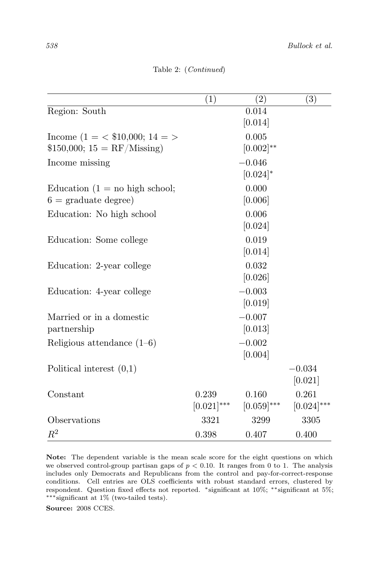|                                              | (1)           | $\left( 2\right)$ | (3)             |
|----------------------------------------------|---------------|-------------------|-----------------|
| Region: South                                |               | 0.014             |                 |
|                                              |               | [0.014]           |                 |
| Income $(1 = \langle \$10,000; 14 = \rangle$ |               | 0.005             |                 |
| $$150,000; 15 = RF/M$ issing)                |               | $[0.002]^{**}$    |                 |
| Income missing                               |               | $-0.046$          |                 |
|                                              |               | $[0.024]$ *       |                 |
| Education $(1 = no$ high school;             |               | 0.000             |                 |
| $6 = \text{graduate degree}$                 |               | [0.006]           |                 |
| Education: No high school                    |               | 0.006             |                 |
|                                              |               | [0.024]           |                 |
| Education: Some college                      |               | 0.019             |                 |
|                                              |               | [0.014]           |                 |
| Education: 2-year college                    |               | 0.032             |                 |
|                                              |               | [0.026]           |                 |
| Education: 4-year college                    |               | $-0.003$          |                 |
|                                              |               | [0.019]           |                 |
| Married or in a domestic                     |               | $-0.007$          |                 |
| partnership                                  |               | [0.013]           |                 |
| Religious attendance $(1-6)$                 |               | $-0.002$          |                 |
|                                              |               | [0.004]           |                 |
| Political interest $(0,1)$                   |               |                   | $-0.034$        |
|                                              |               |                   | [0.021]         |
| Constant                                     | 0.239         | 0.160             | 0.261           |
|                                              | $[0.021]$ *** | $[0.059]^{***}$   | $[0.024]^{***}$ |
| Observations                                 | 3321          | 3299              | 3305            |
| $\,R^2$                                      | 0.398         | 0.407             | 0.400           |

Table 2: (Continued)

Note: The dependent variable is the mean scale score for the eight questions on which we observed control-group partisan gaps of  $p < 0.10$ . It ranges from 0 to 1. The analysis includes only Democrats and Republicans from the control and pay-for-correct-response conditions. Cell entries are OLS coefficients with robust standard errors, clustered by respondent. Question fixed effects not reported. <sup>∗</sup>significant at 10%; ∗∗significant at 5%; ∗∗∗significant at 1% (two-tailed tests).

Source: 2008 CCES.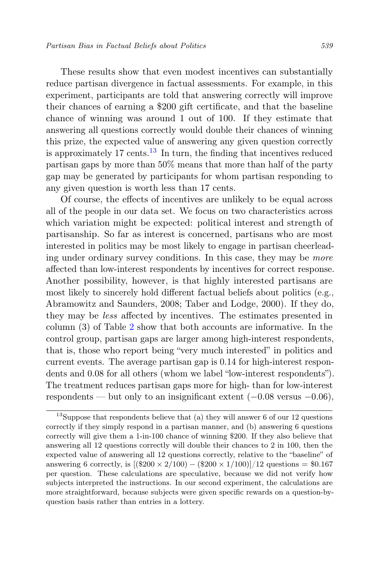These results show that even modest incentives can substantially reduce partisan divergence in factual assessments. For example, in this experiment, participants are told that answering correctly will improve their chances of earning a \$200 gift certificate, and that the baseline chance of winning was around 1 out of 100. If they estimate that answering all questions correctly would double their chances of winning this prize, the expected value of answering any given question correctly is approximately 17 cents.<sup>[13](#page-20-0)</sup> In turn, the finding that incentives reduced partisan gaps by more than 50% means that more than half of the party gap may be generated by participants for whom partisan responding to any given question is worth less than 17 cents.

Of course, the effects of incentives are unlikely to be equal across all of the people in our data set. We focus on two characteristics across which variation might be expected: political interest and strength of partisanship. So far as interest is concerned, partisans who are most interested in politics may be most likely to engage in partisan cheerleading under ordinary survey conditions. In this case, they may be more affected than low-interest respondents by incentives for correct response. Another possibility, however, is that highly interested partisans are most likely to sincerely hold different factual beliefs about politics (e.g., Abramowitz and Saunders, 2008; Taber and Lodge, 2000). If they do, they may be less affected by incentives. The estimates presented in column (3) of Table [2](#page-18-0) show that both accounts are informative. In the control group, partisan gaps are larger among high-interest respondents, that is, those who report being "very much interested" in politics and current events. The average partisan gap is 0.14 for high-interest respondents and 0.08 for all others (whom we label "low-interest respondents"). The treatment reduces partisan gaps more for high- than for low-interest respondents — but only to an insignificant extent  $(-0.08 \text{ versus } -0.06)$ ,

<span id="page-20-0"></span><sup>&</sup>lt;sup>13</sup>Suppose that respondents believe that (a) they will answer 6 of our 12 questions correctly if they simply respond in a partisan manner, and (b) answering 6 questions correctly will give them a 1-in-100 chance of winning \$200. If they also believe that answering all 12 questions correctly will double their chances to 2 in 100, then the expected value of answering all 12 questions correctly, relative to the "baseline" of answering 6 correctly, is  $[(\$200 \times 2/100) - (\$200 \times 1/100)]/12$  questions = \$0.167 per question. These calculations are speculative, because we did not verify how subjects interpreted the instructions. In our second experiment, the calculations are more straightforward, because subjects were given specific rewards on a question-byquestion basis rather than entries in a lottery.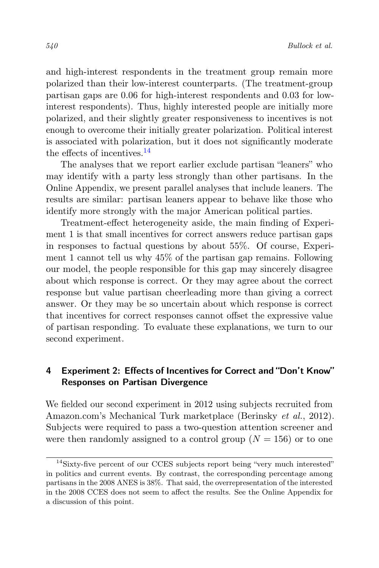and high-interest respondents in the treatment group remain more polarized than their low-interest counterparts. (The treatment-group partisan gaps are 0.06 for high-interest respondents and 0.03 for lowinterest respondents). Thus, highly interested people are initially more polarized, and their slightly greater responsiveness to incentives is not enough to overcome their initially greater polarization. Political interest is associated with polarization, but it does not significantly moderate the effects of incentives.[14](#page-21-0)

The analyses that we report earlier exclude partisan "leaners" who may identify with a party less strongly than other partisans. In the Online Appendix, we present parallel analyses that include leaners. The results are similar: partisan leaners appear to behave like those who identify more strongly with the major American political parties.

Treatment-effect heterogeneity aside, the main finding of Experiment 1 is that small incentives for correct answers reduce partisan gaps in responses to factual questions by about 55%. Of course, Experiment 1 cannot tell us why 45% of the partisan gap remains. Following our model, the people responsible for this gap may sincerely disagree about which response is correct. Or they may agree about the correct response but value partisan cheerleading more than giving a correct answer. Or they may be so uncertain about which response is correct that incentives for correct responses cannot offset the expressive value of partisan responding. To evaluate these explanations, we turn to our second experiment.

# 4 Experiment 2: Effects of Incentives for Correct and "Don't Know" Responses on Partisan Divergence

We fielded our second experiment in 2012 using subjects recruited from Amazon.com's Mechanical Turk marketplace (Berinsky et al., 2012). Subjects were required to pass a two-question attention screener and were then randomly assigned to a control group  $(N = 156)$  or to one

<span id="page-21-0"></span><sup>&</sup>lt;sup>14</sup>Sixty-five percent of our CCES subjects report being "very much interested" in politics and current events. By contrast, the corresponding percentage among partisans in the 2008 ANES is 38%. That said, the overrepresentation of the interested in the 2008 CCES does not seem to affect the results. See the Online Appendix for a discussion of this point.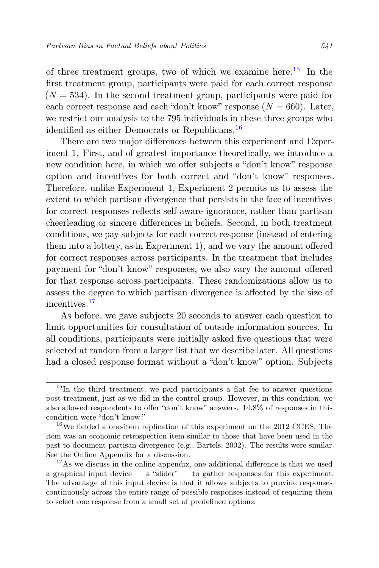of three treatment groups, two of which we examine here.<sup>[15](#page-22-0)</sup> In the first treatment group, participants were paid for each correct response  $(N = 534)$ . In the second treatment group, participants were paid for each correct response and each "don't know" response  $(N = 660)$ . Later, we restrict our analysis to the 795 individuals in these three groups who identified as either Democrats or Republicans.<sup>[16](#page-22-1)</sup>

There are two major differences between this experiment and Experiment 1. First, and of greatest importance theoretically, we introduce a new condition here, in which we offer subjects a "don't know" response option and incentives for both correct and "don't know" responses. Therefore, unlike Experiment 1, Experiment 2 permits us to assess the extent to which partisan divergence that persists in the face of incentives for correct responses reflects self-aware ignorance, rather than partisan cheerleading or sincere differences in beliefs. Second, in both treatment conditions, we pay subjects for each correct response (instead of entering them into a lottery, as in Experiment 1), and we vary the amount offered for correct responses across participants. In the treatment that includes payment for "don't know" responses, we also vary the amount offered for that response across participants. These randomizations allow us to assess the degree to which partisan divergence is affected by the size of incentives.[17](#page-22-2)

As before, we gave subjects 20 seconds to answer each question to limit opportunities for consultation of outside information sources. In all conditions, participants were initially asked five questions that were selected at random from a larger list that we describe later. All questions had a closed response format without a "don't know" option. Subjects

<span id="page-22-0"></span> $15$ In the third treatment, we paid participants a flat fee to answer questions post-treatment, just as we did in the control group. However, in this condition, we also allowed respondents to offer "don't know" answers. 14.8% of responses in this condition were "don't know."

<span id="page-22-1"></span><sup>&</sup>lt;sup>16</sup>We fielded a one-item replication of this experiment on the 2012 CCES. The item was an economic retrospection item similar to those that have been used in the past to document partisan divergence (e.g., Bartels, 2002). The results were similar. See the Online Appendix for a discussion.

<span id="page-22-2"></span><sup>&</sup>lt;sup>17</sup>As we discuss in the online appendix, one additional difference is that we used a graphical input device  $-$  a "slider"  $-$  to gather responses for this experiment. The advantage of this input device is that it allows subjects to provide responses continuously across the entire range of possible responses instead of requiring them to select one response from a small set of predefined options.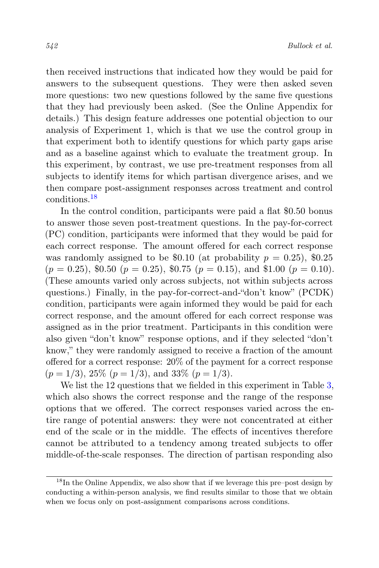then received instructions that indicated how they would be paid for answers to the subsequent questions. They were then asked seven more questions: two new questions followed by the same five questions that they had previously been asked. (See the Online Appendix for details.) This design feature addresses one potential objection to our analysis of Experiment 1, which is that we use the control group in that experiment both to identify questions for which party gaps arise and as a baseline against which to evaluate the treatment group. In this experiment, by contrast, we use pre-treatment responses from all subjects to identify items for which partisan divergence arises, and we then compare post-assignment responses across treatment and control conditions.[18](#page-23-0)

In the control condition, participants were paid a flat \$0.50 bonus to answer those seven post-treatment questions. In the pay-for-correct (PC) condition, participants were informed that they would be paid for each correct response. The amount offered for each correct response was randomly assigned to be \$0.10 (at probability  $p = 0.25$ ), \$0.25  $(p = 0.25)$ , \$0.50  $(p = 0.25)$ , \$0.75  $(p = 0.15)$ , and \$1.00  $(p = 0.10)$ . (These amounts varied only across subjects, not within subjects across questions.) Finally, in the pay-for-correct-and-"don't know" (PCDK) condition, participants were again informed they would be paid for each correct response, and the amount offered for each correct response was assigned as in the prior treatment. Participants in this condition were also given "don't know" response options, and if they selected "don't know," they were randomly assigned to receive a fraction of the amount offered for a correct response: 20% of the payment for a correct response  $(p = 1/3)$ ,  $25\%$   $(p = 1/3)$ , and  $33\%$   $(p = 1/3)$ .

We list the 12 questions that we fielded in this experiment in Table [3,](#page-24-0) which also shows the correct response and the range of the response options that we offered. The correct responses varied across the entire range of potential answers: they were not concentrated at either end of the scale or in the middle. The effects of incentives therefore cannot be attributed to a tendency among treated subjects to offer middle-of-the-scale responses. The direction of partisan responding also

<span id="page-23-0"></span> $18$ In the Online Appendix, we also show that if we leverage this pre–post design by conducting a within-person analysis, we find results similar to those that we obtain when we focus only on post-assignment comparisons across conditions.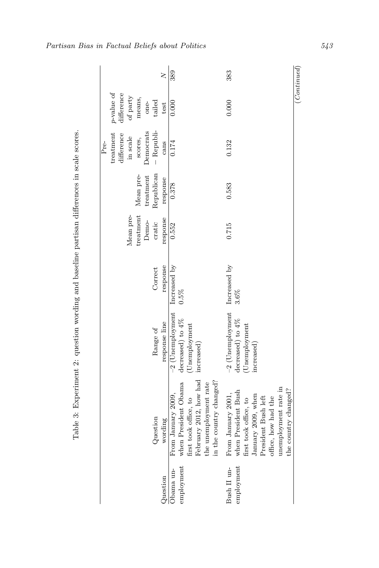| $\geq$                                                                                    | 389                                                                                                                                                          | 383                                                                                                                                                                                    | $\left(Continued\right)$ |
|-------------------------------------------------------------------------------------------|--------------------------------------------------------------------------------------------------------------------------------------------------------------|----------------------------------------------------------------------------------------------------------------------------------------------------------------------------------------|--------------------------|
| $p$ -value of<br>$difference$<br>of party<br>means,<br>tailed<br>one-<br>test             | 0.000                                                                                                                                                        | 0.000                                                                                                                                                                                  |                          |
| - Republi-<br>treatment<br>Democrats<br>difference<br>in scale<br>scores,<br>Pre-<br>cans | 0.174                                                                                                                                                        | 0.132                                                                                                                                                                                  |                          |
| Republican<br>Mean pre-<br>treatment<br>response                                          | 0.378                                                                                                                                                        | 0.583                                                                                                                                                                                  |                          |
| treatment<br>Mean pre-<br>response<br>Demo-<br>cratic                                     | 0.552                                                                                                                                                        | 0.715                                                                                                                                                                                  |                          |
| response<br>Correct                                                                       | Increased by<br>$0.5\%$                                                                                                                                      | Increased by<br>3.6%                                                                                                                                                                   |                          |
| response line<br>Range of                                                                 | $-2$ (Unemployment<br>decreased) to $4\%$<br>(Unemployment                                                                                                   | $-2$ (Unemployment<br>decreased) to $4\%$<br>(Unemployment<br>increased)                                                                                                               |                          |
| Question<br>wording                                                                       | February 2012, how had increased)<br>in the country changed?<br>when President Obama<br>the unemployment rate<br>first took office, to<br>From January 2009, | unemployment rate in<br>the country changed?<br>when President Bush<br>From January 2001,<br>January 2009, when<br>President Bush left<br>office, how had the<br>first took office, to |                          |
| Question                                                                                  | employment<br>Obama un-                                                                                                                                      | employment<br>Bush II un-                                                                                                                                                              |                          |

<span id="page-24-0"></span>Partisan Bias in Factual Beliefs about Politics 543

Table 3: Experiment 2: question wording and baseline partisan differences in scale scores.

Table 3: Experiment 2: question wording and baseline partisan differences in scale scores.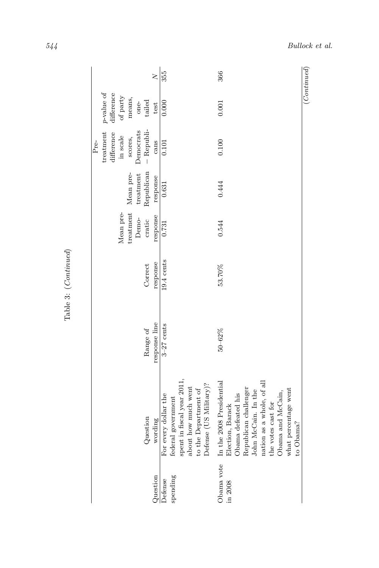| ξ                  |
|--------------------|
|                    |
|                    |
| ŗ<br>$\frac{3}{4}$ |

 $P$ re-

|      |              |            |            |           |              |            | $\geq$        | 355                  |                                                                                                                           | 366                                                                                                                                                                                                                                        | $_{(Continued)}$ |
|------|--------------|------------|------------|-----------|--------------|------------|---------------|----------------------|---------------------------------------------------------------------------------------------------------------------------|--------------------------------------------------------------------------------------------------------------------------------------------------------------------------------------------------------------------------------------------|------------------|
|      | $p$ value of | difference | of $party$ | means,    | one-         | tailed     | test          | 0.000                |                                                                                                                           | 0.001                                                                                                                                                                                                                                      |                  |
| Pre- | treatment    | difference | in scale   | scores,   | $D$ emocrats | - Republi- | cans          | 0.101                |                                                                                                                           | 0.100                                                                                                                                                                                                                                      |                  |
|      |              |            |            | Mean pre- | treatment    | Republican | response      | 0.631                |                                                                                                                           | 0.444                                                                                                                                                                                                                                      |                  |
|      |              |            | Mean pre-  | treatment | Demo-        | cratic     | response      | 0.731                |                                                                                                                           | 0.544                                                                                                                                                                                                                                      |                  |
|      |              |            |            |           |              | Correct    | response      | $19.4$ cents         |                                                                                                                           | 53.70%                                                                                                                                                                                                                                     |                  |
|      |              |            |            |           |              | Range of   | response line | $3-27$ cents         |                                                                                                                           | $50 - 62%$                                                                                                                                                                                                                                 |                  |
|      |              |            |            |           |              | Question   | wording       | For every dollar the | spent in fiscal year 2011,<br>Defense (US Military)?<br>about how much went<br>to the Department of<br>federal government | nation as a whole, of all<br>Obama vote In the 2008 Presidential<br>Republican challenger<br>what percentage went<br>John McCain. In the<br>Obama and McCain,<br>Obama defeated his<br>the votes cast for<br>Election, Barack<br>to Obama? |                  |
|      |              |            |            |           |              |            | Question      | Defense              | spending                                                                                                                  | in 2008                                                                                                                                                                                                                                    |                  |

544 Bullock et al.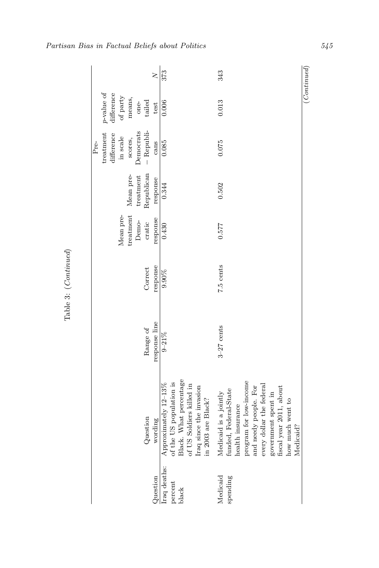| $\geq$                                                                                        | 373                                                                                                                                                   | 343                                                                                                                                                                                                                                  | $\left(Continued\right)$ |
|-----------------------------------------------------------------------------------------------|-------------------------------------------------------------------------------------------------------------------------------------------------------|--------------------------------------------------------------------------------------------------------------------------------------------------------------------------------------------------------------------------------------|--------------------------|
| p-value of<br>difference<br>of $party$<br>means,<br>tailed<br>one-<br>test                    | 0.006                                                                                                                                                 | 0.013                                                                                                                                                                                                                                |                          |
| - Republi-<br>$Denocrats$<br>treatment<br>difference<br>in scale<br>scores,<br>$Pre-$<br>cans | 0.085                                                                                                                                                 | 0.075                                                                                                                                                                                                                                |                          |
| Republican<br>$treatment$<br>Mean pre-<br>response                                            | 0.344                                                                                                                                                 | 0.502                                                                                                                                                                                                                                |                          |
| treatment<br>Mean pre-<br>response<br>Demo-<br>cratic                                         | 0.430                                                                                                                                                 | 0.577                                                                                                                                                                                                                                |                          |
| response<br>Correct                                                                           | 9.90%                                                                                                                                                 | 7.5 cents                                                                                                                                                                                                                            |                          |
| response line<br>Range of                                                                     | $9 - 21\%$                                                                                                                                            | $3-27$ cents                                                                                                                                                                                                                         |                          |
| Question<br>wording                                                                           | % of the US population is<br>Black. What percentage of US Soldiers killed in<br>Approximately 12-13%<br>Iraq since the invasion<br>in 2003 are Black? | program for low-income<br>every dollar the federal<br>and needy people. For<br>fiscal year 2011, about<br>funded, Federal-State<br>Medicaid is a jointly<br>government spent in<br>how much went to<br>health insurance<br>Medicaid? |                          |
| Question                                                                                      | Iraq deaths:<br>percent<br>black                                                                                                                      | Medicaid<br>spending                                                                                                                                                                                                                 |                          |

Partisan Bias in Factual Beliefs about Politics 545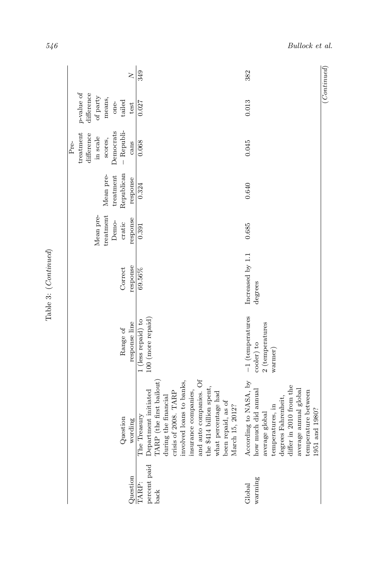| $\geq$                                                                                    | 349                                                                                                                                                                                                                                                                                        | 382                                                                                                                                                                                                    | (Continued) |
|-------------------------------------------------------------------------------------------|--------------------------------------------------------------------------------------------------------------------------------------------------------------------------------------------------------------------------------------------------------------------------------------------|--------------------------------------------------------------------------------------------------------------------------------------------------------------------------------------------------------|-------------|
| $p$ -value of<br>difference<br>of party<br>means,<br>tailed<br>one-<br>test               | 0.027                                                                                                                                                                                                                                                                                      | 0.013                                                                                                                                                                                                  |             |
| - Republi-<br>Democrats<br>treatment<br>difference<br>in scale<br>scores,<br>cans<br>Pre- | 0.068                                                                                                                                                                                                                                                                                      | 0.045                                                                                                                                                                                                  |             |
| Republican<br>Mean pre-<br>treatment<br>response                                          | 0.324                                                                                                                                                                                                                                                                                      | 0.640                                                                                                                                                                                                  |             |
| treatment<br>Mean pre-<br>response<br>Demo-<br>cratic                                     | 0.391                                                                                                                                                                                                                                                                                      | 0.685                                                                                                                                                                                                  |             |
| response<br>Correct                                                                       | 69.56%                                                                                                                                                                                                                                                                                     | Increased by 1.1<br>degrees                                                                                                                                                                            |             |
| response line<br>Range of                                                                 | 100 (more repaid)<br>1 (less repaid) to                                                                                                                                                                                                                                                    | $-1$ (temperatures<br>$2$ (temperatures<br>cooler) to<br>warmer)                                                                                                                                       |             |
| Question<br>wording                                                                       | and auto companies. Of<br>involved loans to banks,<br>TARP (the first bailout)<br>the \$414 billion spent,<br>Department initiated<br>insurance companies,<br>crisis of 2008. TARP<br>what percentage had<br>during the financial<br>been repaid, as of<br>March 15, 2012?<br>The Treasury | According to NASA, by<br>differ in 2010 from the<br>average annual global<br>how much did annual<br>temperature between<br>degrees Fahrenheit,<br>temperatures, in<br>1951 and 1980?<br>average global |             |
| Question                                                                                  | percent paid<br>TARP:<br>back                                                                                                                                                                                                                                                              | warming<br>Global                                                                                                                                                                                      |             |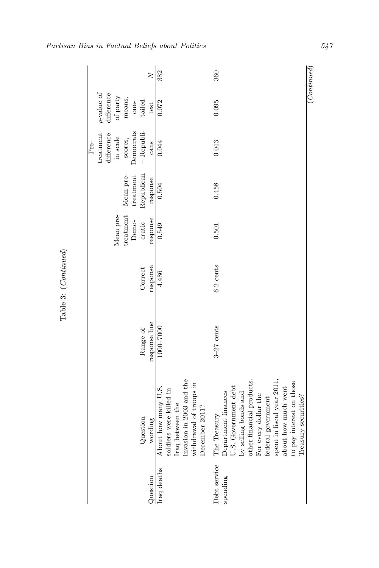|      |                                   |           |           |           |            | $\geq$        | 382                                                                                                                                         | 360                                                                                                                                                                                                                                                                     | (Continued) |
|------|-----------------------------------|-----------|-----------|-----------|------------|---------------|---------------------------------------------------------------------------------------------------------------------------------------------|-------------------------------------------------------------------------------------------------------------------------------------------------------------------------------------------------------------------------------------------------------------------------|-------------|
|      | $p\text{-value of}$<br>difference | of party  | means,    | $one-$    | tailed     | test          | 0.072                                                                                                                                       | 0.095                                                                                                                                                                                                                                                                   |             |
| Pre- | treatment<br>difference           | in scale  | scores,   | Democrats | - Republi- | cans          | 0.044                                                                                                                                       | 0.043                                                                                                                                                                                                                                                                   |             |
|      |                                   |           | Mean pre- | treatment | Republican | response      | 0.504                                                                                                                                       | 0.458                                                                                                                                                                                                                                                                   |             |
|      |                                   | Mean pre- | treatment | Demo-     | cratic     | response      | 0.549                                                                                                                                       | 0.501                                                                                                                                                                                                                                                                   |             |
|      |                                   |           |           |           | Correct    | response      | 4,486                                                                                                                                       | $6.2$ cents                                                                                                                                                                                                                                                             |             |
|      |                                   |           |           |           | Range of   | response line | 10007-000                                                                                                                                   | $3-27$ cents                                                                                                                                                                                                                                                            |             |
|      |                                   |           |           |           | Question   | wording       | invasion in 2003 and the<br>withdrawal of troops in<br>About how many U.S.<br>soldiers were killed in<br>Iraq between the<br>December 2011? | other financial products.<br>spent in fiscal year 2011,<br>to pay interest on those<br>U.S. Government debt<br>about how much went<br>Department finances<br>by selling bonds and<br>For every dollar the<br>Treasury securities?<br>federal government<br>The Treasury |             |
|      |                                   |           |           |           |            | Question      | Iraq deaths                                                                                                                                 | Debt service<br>spending                                                                                                                                                                                                                                                |             |

Partisan Bias in Factual Beliefs about Politics 547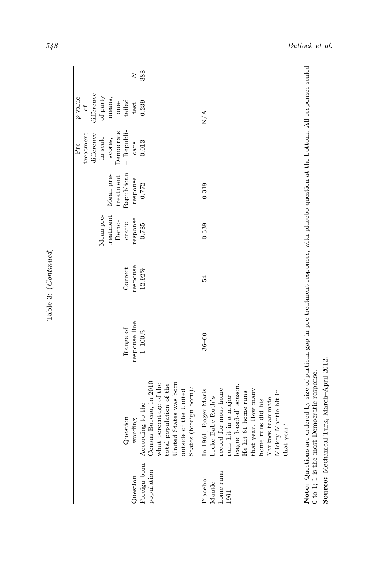| Foreign-born<br>population<br>Question  | Census Bureau, in 2010<br>United States was born<br>what percentage of the<br>total population of the<br>According to the<br>Question<br>wording                                                                                                                                                    | response line<br>Range of<br>$1 - 100\%$ | response<br>Correct<br>12.92% | treatment<br>Mean pre-<br>response<br>Demo-<br>cratic<br>0.785 | Republican<br>Mean pre-<br>treatment<br>response<br>0.772 | - Republi-<br>Democrats<br>difference<br>treatment<br>in scale<br>scores,<br>cans<br>0.013<br>$Pre-$ | difference<br>of party<br>$p$ -value<br>means,<br>tailed<br>one-<br>0.239<br>test<br>$\sigma$ | 388<br>$\geq$ |
|-----------------------------------------|-----------------------------------------------------------------------------------------------------------------------------------------------------------------------------------------------------------------------------------------------------------------------------------------------------|------------------------------------------|-------------------------------|----------------------------------------------------------------|-----------------------------------------------------------|------------------------------------------------------------------------------------------------------|-----------------------------------------------------------------------------------------------|---------------|
| home runs<br>Placebo:<br>Mantle<br>1961 | league baseball season.<br>States (foreign-born)?<br>record for most home<br>In 1961, Roger Maris<br>that year. How many<br>outside of the United<br>He hit 61 home runs<br>Mickey Mantle hit in<br>runs hit in a major<br>broke Babe Ruth's<br>Yankees teammate<br>home runs did his<br>that year? | $36 - 60$                                | 54                            | 0.339                                                          | 0.319                                                     |                                                                                                      | N/A                                                                                           |               |

Source: Mechanical Turk, March-April 2012. Source: Mechanical Turk, March–April 2012.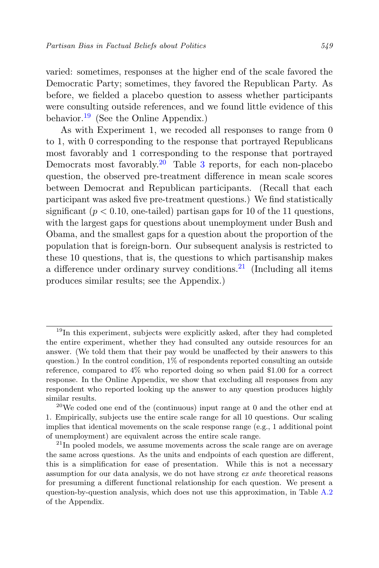varied: sometimes, responses at the higher end of the scale favored the Democratic Party; sometimes, they favored the Republican Party. As before, we fielded a placebo question to assess whether participants were consulting outside references, and we found little evidence of this behavior.<sup>[19](#page-30-0)</sup> (See the Online Appendix.)

As with Experiment 1, we recoded all responses to range from 0 to 1, with 0 corresponding to the response that portrayed Republicans most favorably and 1 corresponding to the response that portrayed Democrats most favorably.<sup>[20](#page-30-1)</sup> Table [3](#page-24-0) reports, for each non-placebo question, the observed pre-treatment difference in mean scale scores between Democrat and Republican participants. (Recall that each participant was asked five pre-treatment questions.) We find statistically significant ( $p < 0.10$ , one-tailed) partisan gaps for 10 of the 11 questions, with the largest gaps for questions about unemployment under Bush and Obama, and the smallest gaps for a question about the proportion of the population that is foreign-born. Our subsequent analysis is restricted to these 10 questions, that is, the questions to which partisanship makes a difference under ordinary survey conditions.<sup>[21](#page-30-2)</sup> (Including all items produces similar results; see the Appendix.)

<span id="page-30-0"></span><sup>&</sup>lt;sup>19</sup>In this experiment, subjects were explicitly asked, after they had completed the entire experiment, whether they had consulted any outside resources for an answer. (We told them that their pay would be unaffected by their answers to this question.) In the control condition,  $1\%$  of respondents reported consulting an outside reference, compared to 4% who reported doing so when paid \$1.00 for a correct response. In the Online Appendix, we show that excluding all responses from any respondent who reported looking up the answer to any question produces highly similar results.

<span id="page-30-1"></span><sup>&</sup>lt;sup>20</sup>We coded one end of the (continuous) input range at 0 and the other end at 1. Empirically, subjects use the entire scale range for all 10 questions. Our scaling implies that identical movements on the scale response range (e.g., 1 additional point of unemployment) are equivalent across the entire scale range.

<span id="page-30-2"></span> $^{21}$ In pooled models, we assume movements across the scale range are on average the same across questions. As the units and endpoints of each question are different, this is a simplification for ease of presentation. While this is not a necessary assumption for our data analysis, we do not have strong ex ante theoretical reasons for presuming a different functional relationship for each question. We present a question-by-question analysis, which does not use this approximation, in Table [A.2](#page-55-0) of the Appendix.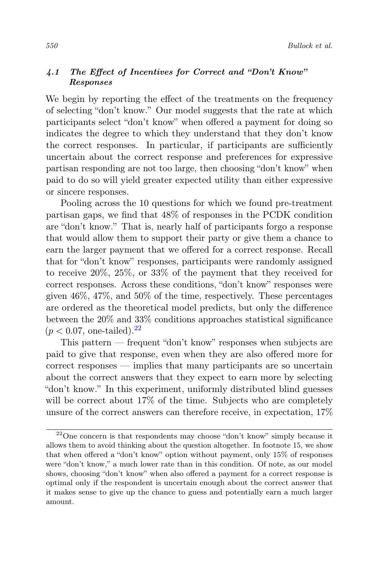#### 4.1 The Effect of Incentives for Correct and "Don't Know" Responses

We begin by reporting the effect of the treatments on the frequency of selecting "don't know." Our model suggests that the rate at which participants select "don't know" when offered a payment for doing so indicates the degree to which they understand that they don't know the correct responses. In particular, if participants are sufficiently uncertain about the correct response and preferences for expressive partisan responding are not too large, then choosing "don't know" when paid to do so will yield greater expected utility than either expressive or sincere responses.

Pooling across the 10 questions for which we found pre-treatment partisan gaps, we find that 48% of responses in the PCDK condition are "don't know." That is, nearly half of participants forgo a response that would allow them to support their party or give them a chance to earn the larger payment that we offered for a correct response. Recall that for "don't know" responses, participants were randomly assigned to receive 20%, 25%, or 33% of the payment that they received for correct responses. Across these conditions, "don't know" responses were given 46%, 47%, and 50% of the time, respectively. These percentages are ordered as the theoretical model predicts, but only the difference between the 20% and 33% conditions approaches statistical significance  $(p < 0.07, \text{ one-tailed}).^{22}$  $(p < 0.07, \text{ one-tailed}).^{22}$  $(p < 0.07, \text{ one-tailed}).^{22}$ 

This pattern — frequent "don't know" responses when subjects are paid to give that response, even when they are also offered more for correct responses — implies that many participants are so uncertain about the correct answers that they expect to earn more by selecting "don't know." In this experiment, uniformly distributed blind guesses will be correct about  $17\%$  of the time. Subjects who are completely unsure of the correct answers can therefore receive, in expectation, 17%

<span id="page-31-0"></span> $22$ One concern is that respondents may choose "don't know" simply because it allows them to avoid thinking about the question altogether. In footnote 15, we show that when offered a "don't know" option without payment, only 15% of responses were "don't know," a much lower rate than in this condition. Of note, as our model shows, choosing "don't know" when also offered a payment for a correct response is optimal only if the respondent is uncertain enough about the correct answer that it makes sense to give up the chance to guess and potentially earn a much larger amount.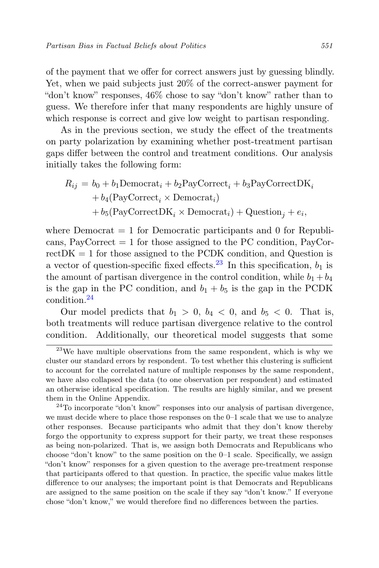of the payment that we offer for correct answers just by guessing blindly. Yet, when we paid subjects just 20% of the correct-answer payment for "don't know" responses, 46% chose to say "don't know" rather than to guess. We therefore infer that many respondents are highly unsure of which response is correct and give low weight to partisan responding.

As in the previous section, we study the effect of the treatments on party polarization by examining whether post-treatment partisan gaps differ between the control and treatment conditions. Our analysis initially takes the following form:

$$
R_{ij} = b_0 + b_1 \text{Democrat}_i + b_2 \text{PayCorrect}_i + b_3 \text{PayCorrectDK}_i
$$
  
+  $b_4(\text{PayCorrect}_i \times \text{Democrat}_i)$   
+  $b_5(\text{PayCorrectDK}_i \times \text{Democrat}_i) + \text{Question}_j + e_i$ ,

where Democrat  $= 1$  for Democratic participants and 0 for Republicans, PayCorrect  $= 1$  for those assigned to the PC condition, PayCor $rectDK = 1$  for those assigned to the PCDK condition, and Question is a vector of question-specific fixed effects.<sup>[23](#page-32-0)</sup> In this specification,  $b_1$  is the amount of partisan divergence in the control condition, while  $b_1 + b_4$ is the gap in the PC condition, and  $b_1 + b_5$  is the gap in the PCDK condition.[24](#page-32-1)

Our model predicts that  $b_1 > 0$ ,  $b_4 < 0$ , and  $b_5 < 0$ . That is, both treatments will reduce partisan divergence relative to the control condition. Additionally, our theoretical model suggests that some

<span id="page-32-0"></span> $^{23}$ We have multiple observations from the same respondent, which is why we cluster our standard errors by respondent. To test whether this clustering is sufficient to account for the correlated nature of multiple responses by the same respondent, we have also collapsed the data (to one observation per respondent) and estimated an otherwise identical specification. The results are highly similar, and we present them in the Online Appendix.

<span id="page-32-1"></span> $24$ To incorporate "don't know" responses into our analysis of partisan divergence, we must decide where to place those responses on the 0–1 scale that we use to analyze other responses. Because participants who admit that they don't know thereby forgo the opportunity to express support for their party, we treat these responses as being non-polarized. That is, we assign both Democrats and Republicans who choose "don't know" to the same position on the  $0-1$  scale. Specifically, we assign "don't know" responses for a given question to the average pre-treatment response that participants offered to that question. In practice, the specific value makes little difference to our analyses; the important point is that Democrats and Republicans are assigned to the same position on the scale if they say "don't know." If everyone chose "don't know," we would therefore find no differences between the parties.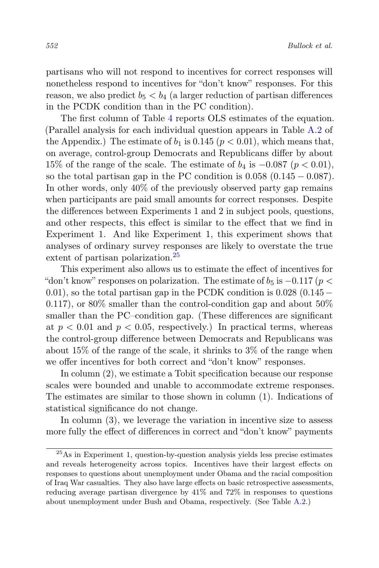partisans who will not respond to incentives for correct responses will nonetheless respond to incentives for "don't know" responses. For this reason, we also predict  $b_5 < b_4$  (a larger reduction of partisan differences in the PCDK condition than in the PC condition).

The first column of Table [4](#page-34-0) reports OLS estimates of the equation. (Parallel analysis for each individual question appears in Table [A.2](#page-55-0) of the Appendix.) The estimate of  $b_1$  is 0.145 ( $p < 0.01$ ), which means that, on average, control-group Democrats and Republicans differ by about 15% of the range of the scale. The estimate of  $b_4$  is  $-0.087$  ( $p < 0.01$ ), so the total partisan gap in the PC condition is  $0.058$  ( $0.145 - 0.087$ ). In other words, only 40% of the previously observed party gap remains when participants are paid small amounts for correct responses. Despite the differences between Experiments 1 and 2 in subject pools, questions, and other respects, this effect is similar to the effect that we find in Experiment 1. And like Experiment 1, this experiment shows that analyses of ordinary survey responses are likely to overstate the true extent of partisan polarization.<sup>[25](#page-33-0)</sup>

This experiment also allows us to estimate the effect of incentives for "don't know" responses on polarization. The estimate of  $b_5$  is  $-0.117$  ( $p <$ 0.01), so the total partisan gap in the PCDK condition is  $0.028$  (0.145 – 0.117), or  $80\%$  smaller than the control-condition gap and about  $50\%$ smaller than the PC–condition gap. (These differences are significant at  $p < 0.01$  and  $p < 0.05$ , respectively.) In practical terms, whereas the control-group difference between Democrats and Republicans was about 15% of the range of the scale, it shrinks to 3% of the range when we offer incentives for both correct and "don't know" responses.

In column (2), we estimate a Tobit specification because our response scales were bounded and unable to accommodate extreme responses. The estimates are similar to those shown in column (1). Indications of statistical significance do not change.

In column  $(3)$ , we leverage the variation in incentive size to assess more fully the effect of differences in correct and "don't know" payments

<span id="page-33-0"></span> $25\,\mathrm{As}$  in Experiment 1, question-by-question analysis yields less precise estimates and reveals heterogeneity across topics. Incentives have their largest effects on responses to questions about unemployment under Obama and the racial composition of Iraq War casualties. They also have large effects on basic retrospective assessments, reducing average partisan divergence by 41% and 72% in responses to questions about unemployment under Bush and Obama, respectively. (See Table [A.2.](#page-55-0))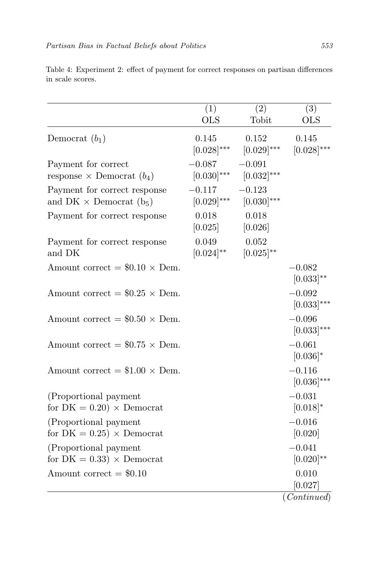|                                                                            | (1)<br><b>OLS</b>           | $\overline{(2)}$<br>Tobit   | $\overline{(3)}$<br><b>OLS</b> |
|----------------------------------------------------------------------------|-----------------------------|-----------------------------|--------------------------------|
| Democrat $(b_1)$                                                           | 0.145<br>$[0.028]^{***}$    | 0.152<br>$[0.029]^{***}$    | 0.145<br>$[0.028]^{***}$       |
| Payment for correct<br>response $\times$ Democrat $(b_4)$                  | $-0.087$<br>$[0.030]^{***}$ | $-0.091$<br>$[0.032]^{***}$ |                                |
| Payment for correct response<br>and DK $\times$ Democrat (b <sub>5</sub> ) | $-0.117$<br>$[0.029]^{***}$ | $-0.123$<br>$[0.030]^{***}$ |                                |
| Payment for correct response                                               | 0.018<br>[0.025]            | 0.018<br>[0.026]            |                                |
| Payment for correct response<br>and DK                                     | 0.049<br>$[0.024]^{**}$     | 0.052<br>$[0.025]^{**}$     |                                |
| Amount correct = $$0.10 \times$ Dem.                                       |                             |                             | $-0.082$<br>$[0.033]^{**}$     |
| Amount correct = $$0.25 \times$ Dem.                                       |                             |                             | $-0.092$<br>$[0.033]^{***}$    |
| Amount correct = $$0.50 \times$ Dem.                                       |                             |                             | $-0.096$<br>$[0.033]^{***}$    |
| Amount correct = $$0.75 \times$ Dem.                                       |                             |                             | $-0.061$<br>$[0.036]$ *        |
| Amount correct = $$1.00 \times$ Dem.                                       |                             |                             | $-0.116$<br>$[0.036]^{***}$    |
| (Proportional payment<br>for $DK = 0.20$ $\times$ Democrat                 |                             |                             | $-0.031$<br>$[0.018]*$         |
| (Proportional payment<br>for $DK = 0.25$ $\times$ Democrat                 |                             |                             | $-0.016$<br>[0.020]            |
| (Proportional payment<br>for $DK = 0.33$ $\times$ Democrat                 |                             |                             | $-0.041$<br>$[0.020]^{**}$     |
| Amount correct $= $0.10$                                                   |                             |                             | 0.010<br>[0.027]               |
|                                                                            |                             |                             | $\overline{(Continued)}$       |

<span id="page-34-0"></span>Table 4: Experiment 2: effect of payment for correct responses on partisan differences in scale scores.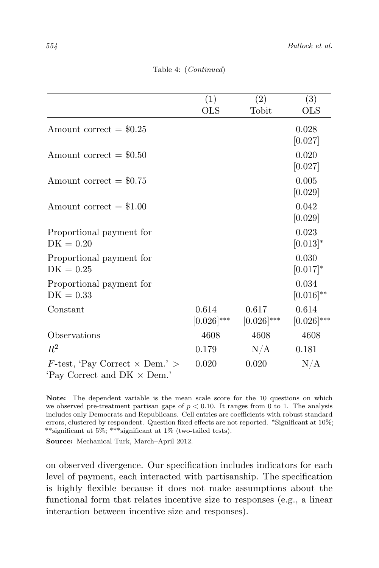|                                            | (1)             | (2)             | (3)             |
|--------------------------------------------|-----------------|-----------------|-----------------|
|                                            | <b>OLS</b>      | Tobit           | <b>OLS</b>      |
| Amount correct $= $0.25$                   |                 |                 | 0.028           |
|                                            |                 |                 | [0.027]         |
| Amount correct $= $0.50$                   |                 |                 | 0.020           |
|                                            |                 |                 | [0.027]         |
| Amount correct $= $0.75$                   |                 |                 | 0.005           |
|                                            |                 |                 | [0.029]         |
| Amount correct $= $1.00$                   |                 |                 | 0.042           |
|                                            |                 |                 | [0.029]         |
| Proportional payment for                   |                 |                 | 0.023           |
| $DK = 0.20$                                |                 |                 | $[0.013]^{*}$   |
| Proportional payment for                   |                 |                 | 0.030           |
| $DK = 0.25$                                |                 |                 | $[0.017]^{*}$   |
| Proportional payment for                   |                 |                 | 0.034           |
| $DK = 0.33$                                |                 |                 | $[0.016]^{**}$  |
| Constant                                   | 0.614           | 0.617           | 0.614           |
|                                            | $[0.026]^{***}$ | $[0.026]^{***}$ | $[0.026]^{***}$ |
| Observations                               | 4608            | 4608            | 4608            |
| $R^2$                                      | 0.179           | N/A             | 0.181           |
| $F$ -test, 'Pay Correct $\times$ Dem.' $>$ | 0.020           | 0.020           | N/A             |
| 'Pay Correct and $DK \times$ Dem.'         |                 |                 |                 |

Table 4: (Continued)

Note: The dependent variable is the mean scale score for the 10 questions on which we observed pre-treatment partisan gaps of  $p < 0.10$ . It ranges from 0 to 1. The analysis includes only Democrats and Republicans. Cell entries are coefficients with robust standard errors, clustered by respondent. Question fixed effects are not reported. \*Significant at 10%; \*\*significant at 5%; \*\*\*significant at 1% (two-tailed tests).

Source: Mechanical Turk, March–April 2012.

on observed divergence. Our specification includes indicators for each level of payment, each interacted with partisanship. The specification is highly flexible because it does not make assumptions about the functional form that relates incentive size to responses (e.g., a linear interaction between incentive size and responses).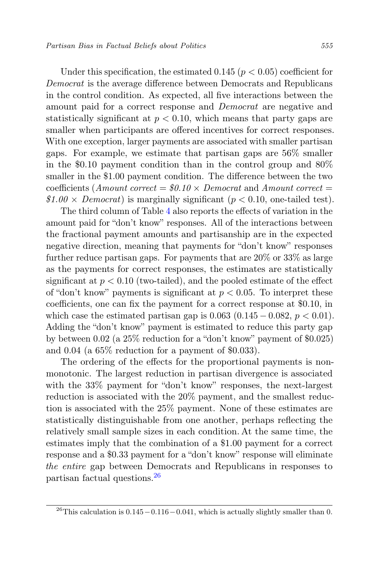Under this specification, the estimated 0.145 ( $p < 0.05$ ) coefficient for Democrat is the average difference between Democrats and Republicans in the control condition. As expected, all five interactions between the amount paid for a correct response and Democrat are negative and statistically significant at  $p < 0.10$ , which means that party gaps are smaller when participants are offered incentives for correct responses. With one exception, larger payments are associated with smaller partisan gaps. For example, we estimate that partisan gaps are 56% smaller in the \$0.10 payment condition than in the control group and 80% smaller in the \$1.00 payment condition. The difference between the two coefficients (Amount correct =  $$0.10 \times$  Democrat and Amount correct =  $$1.00 \times Democrat$$  is marginally significant ( $p < 0.10$ , one-tailed test).

The third column of Table [4](#page-34-0) also reports the effects of variation in the amount paid for "don't know" responses. All of the interactions between the fractional payment amounts and partisanship are in the expected negative direction, meaning that payments for "don't know" responses further reduce partisan gaps. For payments that are  $20\%$  or  $33\%$  as large as the payments for correct responses, the estimates are statistically significant at  $p < 0.10$  (two-tailed), and the pooled estimate of the effect of "don't know" payments is significant at  $p < 0.05$ . To interpret these coefficients, one can fix the payment for a correct response at \$0.10, in which case the estimated partisan gap is  $0.063$  ( $0.145 - 0.082$ ,  $p < 0.01$ ). Adding the "don't know" payment is estimated to reduce this party gap by between 0.02 (a 25% reduction for a "don't know" payment of \$0.025) and 0.04 (a 65% reduction for a payment of \$0.033).

The ordering of the effects for the proportional payments is nonmonotonic. The largest reduction in partisan divergence is associated with the 33% payment for "don't know" responses, the next-largest reduction is associated with the 20% payment, and the smallest reduction is associated with the 25% payment. None of these estimates are statistically distinguishable from one another, perhaps reflecting the relatively small sample sizes in each condition. At the same time, the estimates imply that the combination of a \$1.00 payment for a correct response and a \$0.33 payment for a "don't know" response will eliminate the entire gap between Democrats and Republicans in responses to partisan factual questions.[26](#page-36-0)

<span id="page-36-0"></span> $^{26}\rm{This}$  calculation is  $0.145-0.116-0.041,$  which is actually slightly smaller than  $0.$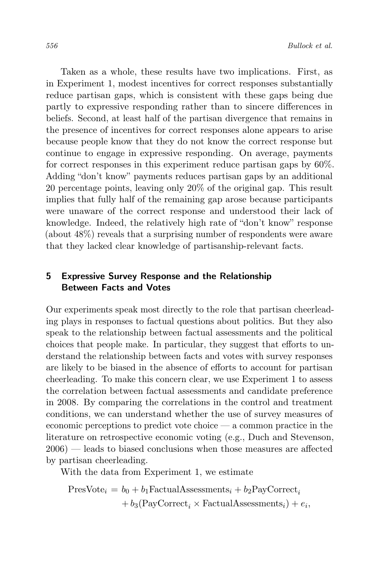Taken as a whole, these results have two implications. First, as in Experiment 1, modest incentives for correct responses substantially reduce partisan gaps, which is consistent with these gaps being due partly to expressive responding rather than to sincere differences in beliefs. Second, at least half of the partisan divergence that remains in the presence of incentives for correct responses alone appears to arise because people know that they do not know the correct response but continue to engage in expressive responding. On average, payments for correct responses in this experiment reduce partisan gaps by 60%. Adding "don't know" payments reduces partisan gaps by an additional 20 percentage points, leaving only 20% of the original gap. This result implies that fully half of the remaining gap arose because participants were unaware of the correct response and understood their lack of knowledge. Indeed, the relatively high rate of "don't know" response (about 48%) reveals that a surprising number of respondents were aware that they lacked clear knowledge of partisanship-relevant facts.

# 5 Expressive Survey Response and the Relationship Between Facts and Votes

Our experiments speak most directly to the role that partisan cheerleading plays in responses to factual questions about politics. But they also speak to the relationship between factual assessments and the political choices that people make. In particular, they suggest that efforts to understand the relationship between facts and votes with survey responses are likely to be biased in the absence of efforts to account for partisan cheerleading. To make this concern clear, we use Experiment 1 to assess the correlation between factual assessments and candidate preference in 2008. By comparing the correlations in the control and treatment conditions, we can understand whether the use of survey measures of economic perceptions to predict vote choice — a common practice in the literature on retrospective economic voting (e.g., Duch and Stevenson, 2006) — leads to biased conclusions when those measures are affected by partisan cheerleading.

With the data from Experiment 1, we estimate

 $PresNote_i = b_0 + b_1FactualAssessments_i + b_2PayCorrect_i$  $+ b_3(\text{PayCorrect}_i \times \text{FactualAssessments}_i) + e_i,$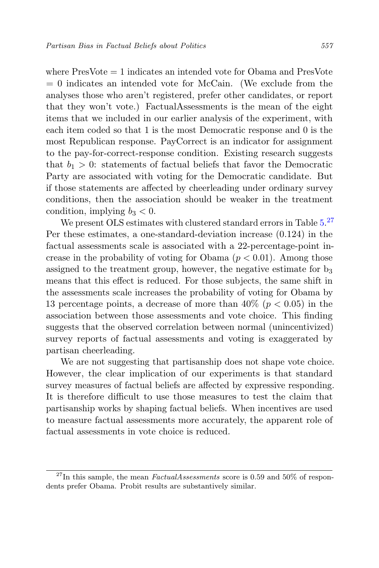where PresVote = 1 indicates an intended vote for Obama and PresVote  $= 0$  indicates an intended vote for McCain. (We exclude from the analyses those who aren't registered, prefer other candidates, or report that they won't vote.) FactualAssessments is the mean of the eight items that we included in our earlier analysis of the experiment, with each item coded so that 1 is the most Democratic response and 0 is the most Republican response. PayCorrect is an indicator for assignment to the pay-for-correct-response condition. Existing research suggests that  $b_1 > 0$ : statements of factual beliefs that favor the Democratic Party are associated with voting for the Democratic candidate. But if those statements are affected by cheerleading under ordinary survey conditions, then the association should be weaker in the treatment condition, implying  $b_3 < 0$ .

We present OLS estimates with clustered standard errors in Table  $5.^{27}$  $5.^{27}$  $5.^{27}$  $5.^{27}$ Per these estimates, a one-standard-deviation increase (0.124) in the factual assessments scale is associated with a 22-percentage-point increase in the probability of voting for Obama  $(p < 0.01)$ . Among those assigned to the treatment group, however, the negative estimate for  $b_3$ means that this effect is reduced. For those subjects, the same shift in the assessments scale increases the probability of voting for Obama by 13 percentage points, a decrease of more than  $40\%$  ( $p < 0.05$ ) in the association between those assessments and vote choice. This finding suggests that the observed correlation between normal (unincentivized) survey reports of factual assessments and voting is exaggerated by partisan cheerleading.

We are not suggesting that partisanship does not shape vote choice. However, the clear implication of our experiments is that standard survey measures of factual beliefs are affected by expressive responding. It is therefore difficult to use those measures to test the claim that partisanship works by shaping factual beliefs. When incentives are used to measure factual assessments more accurately, the apparent role of factual assessments in vote choice is reduced.

<span id="page-38-0"></span> $^{27}$ In this sample, the mean *FactualAssessments* score is 0.59 and 50% of respondents prefer Obama. Probit results are substantively similar.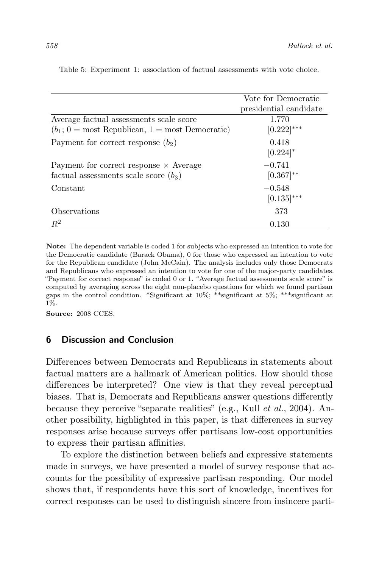|                                                                 | Vote for Democratic    |
|-----------------------------------------------------------------|------------------------|
|                                                                 | presidential candidate |
| Average factual assessments scale score                         | 1.770                  |
| $(b_1; 0 = \text{most Republican}, 1 = \text{most Democratic})$ | $[0.222]^{***}$        |
| Payment for correct response $(b_2)$                            | 0.418                  |
|                                                                 | $[0.224]$ *            |
| Payment for correct response $\times$ Average                   | $-0.741$               |
| factual assessments scale score $(b_3)$                         | $[0.367]^{**}$         |
| Constant                                                        | $-0.548$               |
|                                                                 | $[0.135]^{***}$        |
| Observations                                                    | 373                    |
| $R^2$                                                           | 0.130                  |

<span id="page-39-0"></span>Table 5: Experiment 1: association of factual assessments with vote choice.

Note: The dependent variable is coded 1 for subjects who expressed an intention to vote for the Democratic candidate (Barack Obama), 0 for those who expressed an intention to vote for the Republican candidate (John McCain). The analysis includes only those Democrats and Republicans who expressed an intention to vote for one of the major-party candidates. "Payment for correct response" is coded 0 or 1. "Average factual assessments scale score" is computed by averaging across the eight non-placebo questions for which we found partisan gaps in the control condition. \*Significant at 10%; \*\*significant at 5%; \*\*\*significant at 1%.

Source: 2008 CCES.

## 6 Discussion and Conclusion

Differences between Democrats and Republicans in statements about factual matters are a hallmark of American politics. How should those differences be interpreted? One view is that they reveal perceptual biases. That is, Democrats and Republicans answer questions differently because they perceive "separate realities" (e.g., Kull et al., 2004). Another possibility, highlighted in this paper, is that differences in survey responses arise because surveys offer partisans low-cost opportunities to express their partisan affinities.

To explore the distinction between beliefs and expressive statements made in surveys, we have presented a model of survey response that accounts for the possibility of expressive partisan responding. Our model shows that, if respondents have this sort of knowledge, incentives for correct responses can be used to distinguish sincere from insincere parti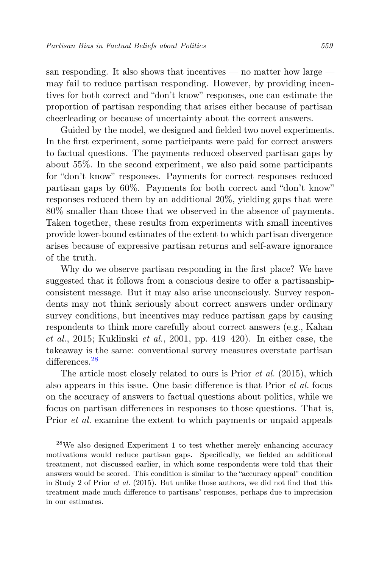san responding. It also shows that incentives — no matter how large may fail to reduce partisan responding. However, by providing incentives for both correct and "don't know" responses, one can estimate the proportion of partisan responding that arises either because of partisan cheerleading or because of uncertainty about the correct answers.

Guided by the model, we designed and fielded two novel experiments. In the first experiment, some participants were paid for correct answers to factual questions. The payments reduced observed partisan gaps by about 55%. In the second experiment, we also paid some participants for "don't know" responses. Payments for correct responses reduced partisan gaps by 60%. Payments for both correct and "don't know" responses reduced them by an additional 20%, yielding gaps that were 80% smaller than those that we observed in the absence of payments. Taken together, these results from experiments with small incentives provide lower-bound estimates of the extent to which partisan divergence arises because of expressive partisan returns and self-aware ignorance of the truth.

Why do we observe partisan responding in the first place? We have suggested that it follows from a conscious desire to offer a partisanshipconsistent message. But it may also arise unconsciously. Survey respondents may not think seriously about correct answers under ordinary survey conditions, but incentives may reduce partisan gaps by causing respondents to think more carefully about correct answers (e.g., Kahan et al., 2015; Kuklinski et al., 2001, pp. 419–420). In either case, the takeaway is the same: conventional survey measures overstate partisan differences<sup>[28](#page-40-0)</sup>

The article most closely related to ours is Prior et al. (2015), which also appears in this issue. One basic difference is that Prior et al. focus on the accuracy of answers to factual questions about politics, while we focus on partisan differences in responses to those questions. That is, Prior et al. examine the extent to which payments or unpaid appeals

<span id="page-40-0"></span><sup>28</sup>We also designed Experiment 1 to test whether merely enhancing accuracy motivations would reduce partisan gaps. Specifically, we fielded an additional treatment, not discussed earlier, in which some respondents were told that their answers would be scored. This condition is similar to the "accuracy appeal" condition in Study 2 of Prior et al. (2015). But unlike those authors, we did not find that this treatment made much difference to partisans' responses, perhaps due to imprecision in our estimates.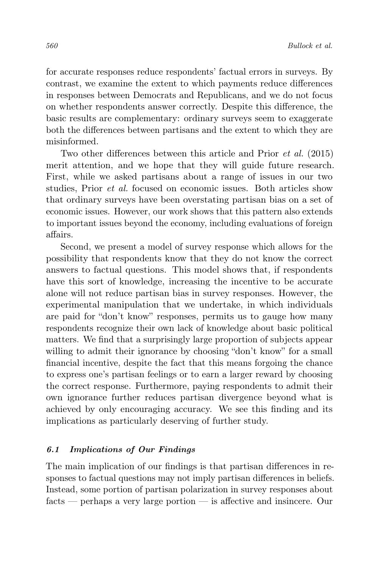for accurate responses reduce respondents' factual errors in surveys. By contrast, we examine the extent to which payments reduce differences in responses between Democrats and Republicans, and we do not focus on whether respondents answer correctly. Despite this difference, the basic results are complementary: ordinary surveys seem to exaggerate both the differences between partisans and the extent to which they are misinformed.

Two other differences between this article and Prior et al. (2015) merit attention, and we hope that they will guide future research. First, while we asked partisans about a range of issues in our two studies, Prior et al. focused on economic issues. Both articles show that ordinary surveys have been overstating partisan bias on a set of economic issues. However, our work shows that this pattern also extends to important issues beyond the economy, including evaluations of foreign affairs.

Second, we present a model of survey response which allows for the possibility that respondents know that they do not know the correct answers to factual questions. This model shows that, if respondents have this sort of knowledge, increasing the incentive to be accurate alone will not reduce partisan bias in survey responses. However, the experimental manipulation that we undertake, in which individuals are paid for "don't know" responses, permits us to gauge how many respondents recognize their own lack of knowledge about basic political matters. We find that a surprisingly large proportion of subjects appear willing to admit their ignorance by choosing "don't know" for a small financial incentive, despite the fact that this means forgoing the chance to express one's partisan feelings or to earn a larger reward by choosing the correct response. Furthermore, paying respondents to admit their own ignorance further reduces partisan divergence beyond what is achieved by only encouraging accuracy. We see this finding and its implications as particularly deserving of further study.

#### 6.1 Implications of Our Findings

The main implication of our findings is that partisan differences in responses to factual questions may not imply partisan differences in beliefs. Instead, some portion of partisan polarization in survey responses about facts — perhaps a very large portion — is affective and insincere. Our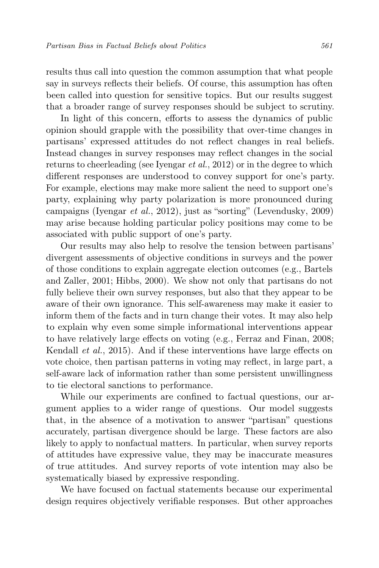results thus call into question the common assumption that what people say in surveys reflects their beliefs. Of course, this assumption has often been called into question for sensitive topics. But our results suggest that a broader range of survey responses should be subject to scrutiny.

In light of this concern, efforts to assess the dynamics of public opinion should grapple with the possibility that over-time changes in partisans' expressed attitudes do not reflect changes in real beliefs. Instead changes in survey responses may reflect changes in the social returns to cheerleading (see Iyengar et al., 2012) or in the degree to which different responses are understood to convey support for one's party. For example, elections may make more salient the need to support one's party, explaining why party polarization is more pronounced during campaigns (Iyengar et al., 2012), just as "sorting" (Levendusky, 2009) may arise because holding particular policy positions may come to be associated with public support of one's party.

Our results may also help to resolve the tension between partisans' divergent assessments of objective conditions in surveys and the power of those conditions to explain aggregate election outcomes (e.g., Bartels and Zaller, 2001; Hibbs, 2000). We show not only that partisans do not fully believe their own survey responses, but also that they appear to be aware of their own ignorance. This self-awareness may make it easier to inform them of the facts and in turn change their votes. It may also help to explain why even some simple informational interventions appear to have relatively large effects on voting (e.g., Ferraz and Finan, 2008; Kendall et al., 2015). And if these interventions have large effects on vote choice, then partisan patterns in voting may reflect, in large part, a self-aware lack of information rather than some persistent unwillingness to tie electoral sanctions to performance.

While our experiments are confined to factual questions, our argument applies to a wider range of questions. Our model suggests that, in the absence of a motivation to answer "partisan" questions accurately, partisan divergence should be large. These factors are also likely to apply to nonfactual matters. In particular, when survey reports of attitudes have expressive value, they may be inaccurate measures of true attitudes. And survey reports of vote intention may also be systematically biased by expressive responding.

We have focused on factual statements because our experimental design requires objectively verifiable responses. But other approaches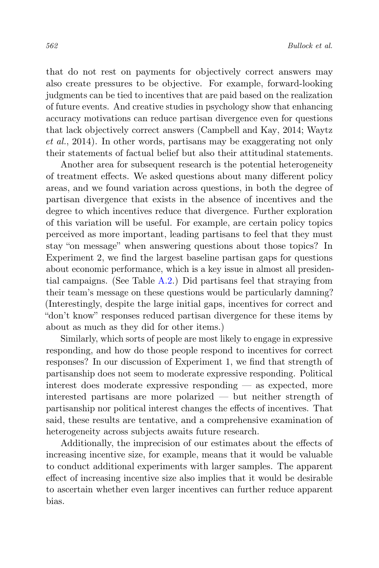that do not rest on payments for objectively correct answers may also create pressures to be objective. For example, forward-looking judgments can be tied to incentives that are paid based on the realization of future events. And creative studies in psychology show that enhancing accuracy motivations can reduce partisan divergence even for questions that lack objectively correct answers (Campbell and Kay, 2014; Waytz et al., 2014). In other words, partisans may be exaggerating not only their statements of factual belief but also their attitudinal statements.

Another area for subsequent research is the potential heterogeneity of treatment effects. We asked questions about many different policy areas, and we found variation across questions, in both the degree of partisan divergence that exists in the absence of incentives and the degree to which incentives reduce that divergence. Further exploration of this variation will be useful. For example, are certain policy topics perceived as more important, leading partisans to feel that they must stay "on message" when answering questions about those topics? In Experiment 2, we find the largest baseline partisan gaps for questions about economic performance, which is a key issue in almost all presidential campaigns. (See Table [A.2.](#page-55-0)) Did partisans feel that straying from their team's message on these questions would be particularly damning? (Interestingly, despite the large initial gaps, incentives for correct and "don't know" responses reduced partisan divergence for these items by about as much as they did for other items.)

Similarly, which sorts of people are most likely to engage in expressive responding, and how do those people respond to incentives for correct responses? In our discussion of Experiment 1, we find that strength of partisanship does not seem to moderate expressive responding. Political interest does moderate expressive responding — as expected, more interested partisans are more polarized — but neither strength of partisanship nor political interest changes the effects of incentives. That said, these results are tentative, and a comprehensive examination of heterogeneity across subjects awaits future research.

Additionally, the imprecision of our estimates about the effects of increasing incentive size, for example, means that it would be valuable to conduct additional experiments with larger samples. The apparent effect of increasing incentive size also implies that it would be desirable to ascertain whether even larger incentives can further reduce apparent bias.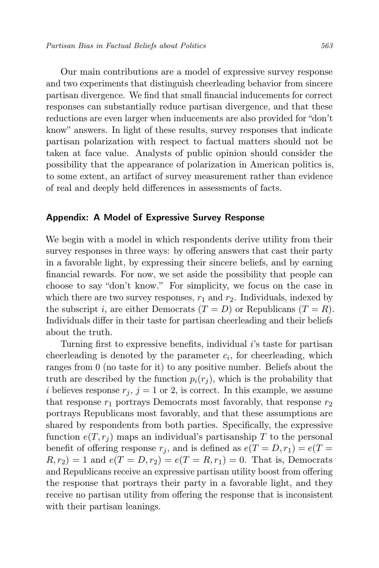Our main contributions are a model of expressive survey response and two experiments that distinguish cheerleading behavior from sincere partisan divergence. We find that small financial inducements for correct responses can substantially reduce partisan divergence, and that these reductions are even larger when inducements are also provided for "don't know" answers. In light of these results, survey responses that indicate partisan polarization with respect to factual matters should not be taken at face value. Analysts of public opinion should consider the possibility that the appearance of polarization in American politics is, to some extent, an artifact of survey measurement rather than evidence of real and deeply held differences in assessments of facts.

#### Appendix: A Model of Expressive Survey Response

We begin with a model in which respondents derive utility from their survey responses in three ways: by offering answers that cast their party in a favorable light, by expressing their sincere beliefs, and by earning financial rewards. For now, we set aside the possibility that people can choose to say "don't know." For simplicity, we focus on the case in which there are two survey responses,  $r_1$  and  $r_2$ . Individuals, indexed by the subscript i, are either Democrats  $(T = D)$  or Republicans  $(T = R)$ . Individuals differ in their taste for partisan cheerleading and their beliefs about the truth.

Turning first to expressive benefits, individual  $i$ 's taste for partisan cheerleading is denoted by the parameter  $c_i$ , for cheerleading, which ranges from 0 (no taste for it) to any positive number. Beliefs about the truth are described by the function  $p_i(r_i)$ , which is the probability that i believes response  $r_j$ ,  $j = 1$  or 2, is correct. In this example, we assume that response  $r_1$  portrays Democrats most favorably, that response  $r_2$ portrays Republicans most favorably, and that these assumptions are shared by respondents from both parties. Specifically, the expressive function  $e(T, r_i)$  maps an individual's partisanship T to the personal benefit of offering response  $r_i$ , and is defined as  $e(T = D, r_1) = e(T = D)$  $R, r_2$ ) = 1 and  $e(T = D, r_2) = e(T = R, r_1) = 0$ . That is, Democrats and Republicans receive an expressive partisan utility boost from offering the response that portrays their party in a favorable light, and they receive no partisan utility from offering the response that is inconsistent with their partisan leanings.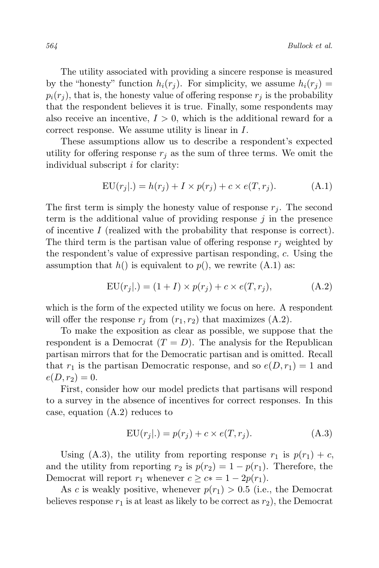The utility associated with providing a sincere response is measured by the "honesty" function  $h_i(r_i)$ . For simplicity, we assume  $h_i(r_i)$  =  $p_i(r_i)$ , that is, the honesty value of offering response  $r_i$  is the probability that the respondent believes it is true. Finally, some respondents may also receive an incentive,  $I > 0$ , which is the additional reward for a correct response. We assume utility is linear in I.

These assumptions allow us to describe a respondent's expected utility for offering response  $r_j$  as the sum of three terms. We omit the individual subscript i for clarity:

$$
EU(r_j|.) = h(r_j) + I \times p(r_j) + c \times e(T, r_j). \tag{A.1}
$$

The first term is simply the honesty value of response  $r_j$ . The second term is the additional value of providing response  $j$  in the presence of incentive I (realized with the probability that response is correct). The third term is the partisan value of offering response  $r_i$  weighted by the respondent's value of expressive partisan responding, c. Using the assumption that  $h()$  is equivalent to  $p()$ , we rewrite  $(A.1)$  as:

$$
EU(r_j|.) = (1+I) \times p(r_j) + c \times e(T, r_j), \tag{A.2}
$$

which is the form of the expected utility we focus on here. A respondent will offer the response  $r_i$  from  $(r_1, r_2)$  that maximizes  $(A.2)$ .

To make the exposition as clear as possible, we suppose that the respondent is a Democrat  $(T = D)$ . The analysis for the Republican partisan mirrors that for the Democratic partisan and is omitted. Recall that  $r_1$  is the partisan Democratic response, and so  $e(D, r_1) = 1$  and  $e(D, r_2) = 0.$ 

First, consider how our model predicts that partisans will respond to a survey in the absence of incentives for correct responses. In this case, equation (A.2) reduces to

$$
EU(r_j|.) = p(r_j) + c \times e(T, r_j). \tag{A.3}
$$

Using (A.3), the utility from reporting response  $r_1$  is  $p(r_1) + c$ , and the utility from reporting  $r_2$  is  $p(r_2) = 1 - p(r_1)$ . Therefore, the Democrat will report  $r_1$  whenever  $c \geq c_* = 1 - 2p(r_1)$ .

As c is weakly positive, whenever  $p(r_1) > 0.5$  (i.e., the Democrat believes response  $r_1$  is at least as likely to be correct as  $r_2$ ), the Democrat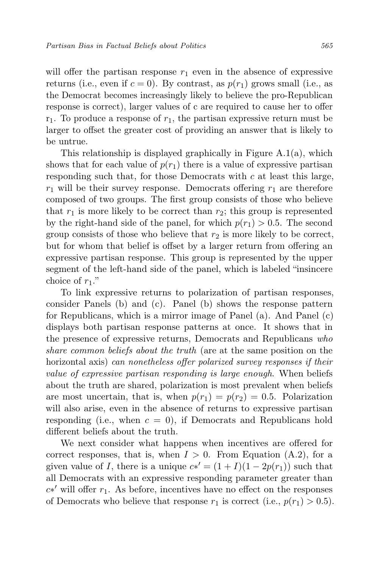will offer the partisan response  $r_1$  even in the absence of expressive returns (i.e., even if  $c = 0$ ). By contrast, as  $p(r_1)$  grows small (i.e., as the Democrat becomes increasingly likely to believe the pro-Republican response is correct), larger values of c are required to cause her to offer  $r_1$ . To produce a response of  $r_1$ , the partisan expressive return must be larger to offset the greater cost of providing an answer that is likely to be untrue.

This relationship is displayed graphically in Figure A.1(a), which shows that for each value of  $p(r_1)$  there is a value of expressive partisan responding such that, for those Democrats with  $c$  at least this large,  $r_1$  will be their survey response. Democrats offering  $r_1$  are therefore composed of two groups. The first group consists of those who believe that  $r_1$  is more likely to be correct than  $r_2$ ; this group is represented by the right-hand side of the panel, for which  $p(r_1) > 0.5$ . The second group consists of those who believe that  $r_2$  is more likely to be correct, but for whom that belief is offset by a larger return from offering an expressive partisan response. This group is represented by the upper segment of the left-hand side of the panel, which is labeled "insincere choice of  $r_1$ ."

To link expressive returns to polarization of partisan responses, consider Panels (b) and (c). Panel (b) shows the response pattern for Republicans, which is a mirror image of Panel (a). And Panel (c) displays both partisan response patterns at once. It shows that in the presence of expressive returns, Democrats and Republicans who share common beliefs about the truth (are at the same position on the horizontal axis) can nonetheless offer polarized survey responses if their value of expressive partisan responding is large enough. When beliefs about the truth are shared, polarization is most prevalent when beliefs are most uncertain, that is, when  $p(r_1) = p(r_2) = 0.5$ . Polarization will also arise, even in the absence of returns to expressive partisan responding (i.e., when  $c = 0$ ), if Democrats and Republicans hold different beliefs about the truth.

We next consider what happens when incentives are offered for correct responses, that is, when  $I > 0$ . From Equation (A.2), for a given value of I, there is a unique  $c*' = (1 + I)(1 - 2p(r_1))$  such that all Democrats with an expressive responding parameter greater than  $c*'$  will offer  $r_1$ . As before, incentives have no effect on the responses of Democrats who believe that response  $r_1$  is correct (i.e.,  $p(r_1) > 0.5$ ).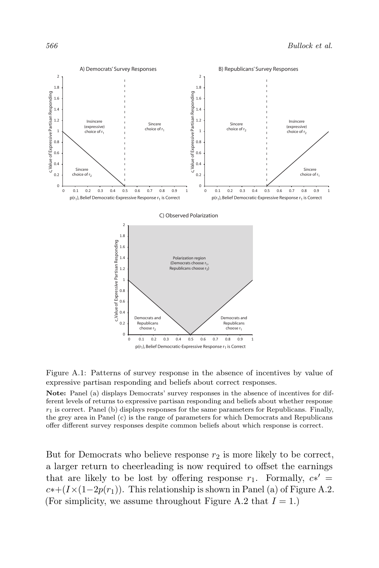

Figure A.1: Patterns of survey response in the absence of incentives by value of expressive partisan responding and beliefs about correct responses.

Note: Panel (a) displays Democrats' survey responses in the absence of incentives for different levels of returns to expressive partisan responding and beliefs about whether response  $r_1$  is correct. Panel (b) displays responses for the same parameters for Republicans. Finally, the grey area in Panel (c) is the range of parameters for which Democrats and Republicans offer different survey responses despite common beliefs about which response is correct.

But for Democrats who believe response  $r_2$  is more likely to be correct, a larger return to cheerleading is now required to offset the earnings that are likely to be lost by offering response  $r_1$ . Formally,  $c*' =$  $c*+(I\times(1-2p(r_1))$ . This relationship is shown in Panel (a) of Figure A.2. (For simplicity, we assume throughout Figure A.2 that  $I = 1$ .)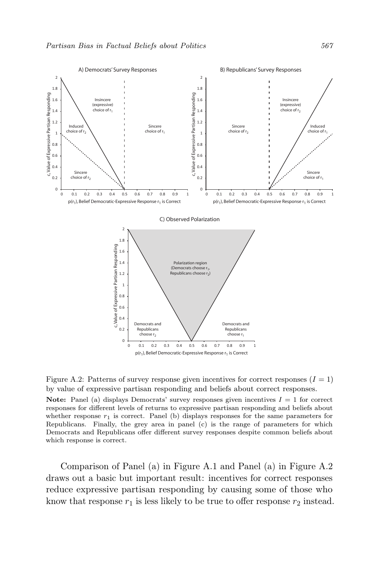

 $p(r_1)$ , Belief Democratic-Expressive Response  $r_1$  is Correct

Figure A.2: Patterns of survey response given incentives for correct responses  $(I = 1)$ by value of expressive partisan responding and beliefs about correct responses. Note: Panel (a) displays Democrats' survey responses given incentives  $I = 1$  for correct responses for different levels of returns to expressive partisan responding and beliefs about whether response  $r_1$  is correct. Panel (b) displays responses for the same parameters for Republicans. Finally, the grey area in panel (c) is the range of parameters for which Democrats and Republicans offer different survey responses despite common beliefs about which response is correct.

Comparison of Panel (a) in Figure A.1 and Panel (a) in Figure A.2 draws out a basic but important result: incentives for correct responses reduce expressive partisan responding by causing some of those who know that response  $r_1$  is less likely to be true to offer response  $r_2$  instead.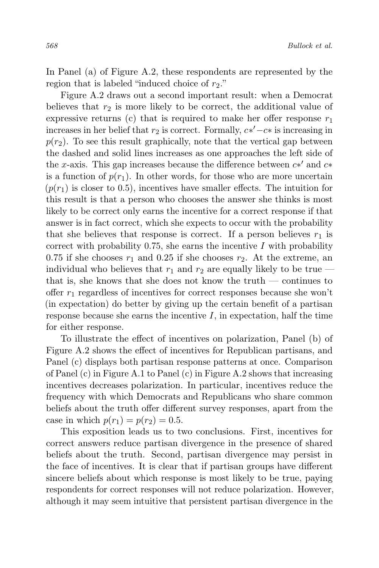In Panel (a) of Figure A.2, these respondents are represented by the region that is labeled "induced choice of  $r_2$ ."

Figure A.2 draws out a second important result: when a Democrat believes that  $r_2$  is more likely to be correct, the additional value of expressive returns (c) that is required to make her offer response  $r_1$ increases in her belief that  $r_2$  is correct. Formally,  $c*' - c*$  is increasing in  $p(r<sub>2</sub>)$ . To see this result graphically, note that the vertical gap between the dashed and solid lines increases as one approaches the left side of the x-axis. This gap increases because the difference between  $c*'$  and  $c*$ is a function of  $p(r_1)$ . In other words, for those who are more uncertain  $(p(r_1)$  is closer to 0.5), incentives have smaller effects. The intuition for this result is that a person who chooses the answer she thinks is most likely to be correct only earns the incentive for a correct response if that answer is in fact correct, which she expects to occur with the probability that she believes that response is correct. If a person believes  $r_1$  is correct with probability  $0.75$ , she earns the incentive I with probability 0.75 if she chooses  $r_1$  and 0.25 if she chooses  $r_2$ . At the extreme, an individual who believes that  $r_1$  and  $r_2$  are equally likely to be true that is, she knows that she does not know the truth — continues to offer  $r_1$  regardless of incentives for correct responses because she won't (in expectation) do better by giving up the certain benefit of a partisan response because she earns the incentive  $I$ , in expectation, half the time for either response.

To illustrate the effect of incentives on polarization, Panel (b) of Figure A.2 shows the effect of incentives for Republican partisans, and Panel (c) displays both partisan response patterns at once. Comparison of Panel (c) in Figure A.1 to Panel (c) in Figure A.2 shows that increasing incentives decreases polarization. In particular, incentives reduce the frequency with which Democrats and Republicans who share common beliefs about the truth offer different survey responses, apart from the case in which  $p(r_1) = p(r_2) = 0.5$ .

This exposition leads us to two conclusions. First, incentives for correct answers reduce partisan divergence in the presence of shared beliefs about the truth. Second, partisan divergence may persist in the face of incentives. It is clear that if partisan groups have different sincere beliefs about which response is most likely to be true, paying respondents for correct responses will not reduce polarization. However, although it may seem intuitive that persistent partisan divergence in the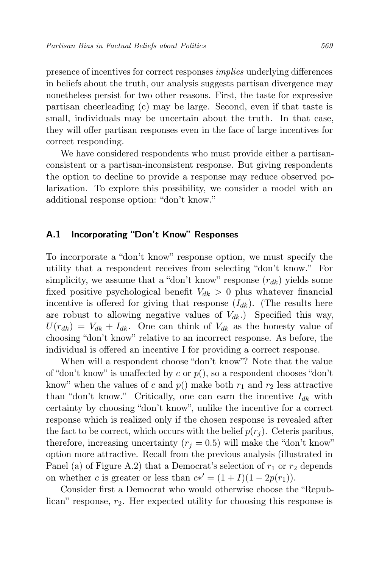presence of incentives for correct responses implies underlying differences in beliefs about the truth, our analysis suggests partisan divergence may nonetheless persist for two other reasons. First, the taste for expressive partisan cheerleading (c) may be large. Second, even if that taste is small, individuals may be uncertain about the truth. In that case, they will offer partisan responses even in the face of large incentives for correct responding.

We have considered respondents who must provide either a partisanconsistent or a partisan-inconsistent response. But giving respondents the option to decline to provide a response may reduce observed polarization. To explore this possibility, we consider a model with an additional response option: "don't know."

## A.1 Incorporating "Don't Know" Responses

To incorporate a "don't know" response option, we must specify the utility that a respondent receives from selecting "don't know." For simplicity, we assume that a "don't know" response  $(r_{dk})$  yields some fixed positive psychological benefit  $V_{dk} > 0$  plus whatever financial incentive is offered for giving that response  $(I_{dk})$ . (The results here are robust to allowing negative values of  $V_{dk}$ .) Specified this way,  $U(r_{dk}) = V_{dk} + I_{dk}$ . One can think of  $V_{dk}$  as the honesty value of choosing "don't know" relative to an incorrect response. As before, the individual is offered an incentive I for providing a correct response.

When will a respondent choose "don't know"? Note that the value of "don't know" is unaffected by c or  $p()$ , so a respondent chooses "don't know" when the values of c and  $p()$  make both  $r_1$  and  $r_2$  less attractive than "don't know." Critically, one can earn the incentive  $I_{dk}$  with certainty by choosing "don't know", unlike the incentive for a correct response which is realized only if the chosen response is revealed after the fact to be correct, which occurs with the belief  $p(r_i)$ . Ceteris paribus, therefore, increasing uncertainty  $(r_i = 0.5)$  will make the "don't know" option more attractive. Recall from the previous analysis (illustrated in Panel (a) of Figure A.2) that a Democrat's selection of  $r_1$  or  $r_2$  depends on whether c is greater or less than  $c*' = (1 + I)(1 - 2p(r_1)).$ 

Consider first a Democrat who would otherwise choose the "Republican" response,  $r_2$ . Her expected utility for choosing this response is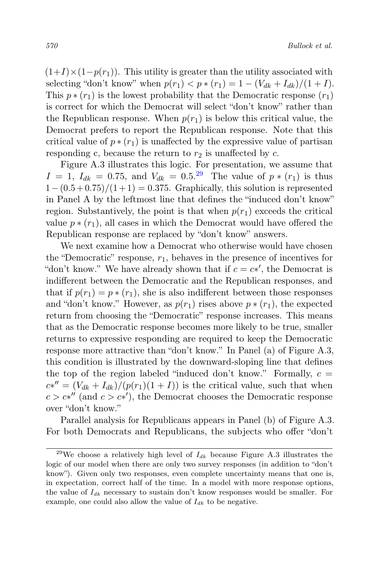$(1+I)\times(1-p(r_1))$ . This utility is greater than the utility associated with selecting "don't know" when  $p(r_1) < p * (r_1) = 1 - (V_{dk} + I_{dk})/(1 + I)$ . This  $p * (r_1)$  is the lowest probability that the Democratic response  $(r_1)$ is correct for which the Democrat will select "don't know" rather than the Republican response. When  $p(r_1)$  is below this critical value, the Democrat prefers to report the Republican response. Note that this critical value of  $p * (r_1)$  is unaffected by the expressive value of partisan responding c, because the return to  $r_2$  is unaffected by c.

Figure A.3 illustrates this logic. For presentation, we assume that  $I = 1, I_{dk} = 0.75, \text{ and } V_{dk} = 0.5^{29}$  $I = 1, I_{dk} = 0.75, \text{ and } V_{dk} = 0.5^{29}$  $I = 1, I_{dk} = 0.75, \text{ and } V_{dk} = 0.5^{29}$  The value of  $p * (r_1)$  is thus  $1-(0.5+0.75)/(1+1) = 0.375$ . Graphically, this solution is represented in Panel A by the leftmost line that defines the "induced don't know" region. Substantively, the point is that when  $p(r_1)$  exceeds the critical value  $p * (r_1)$ , all cases in which the Democrat would have offered the Republican response are replaced by "don't know" answers.

We next examine how a Democrat who otherwise would have chosen the "Democratic" response,  $r_1$ , behaves in the presence of incentives for "don't know." We have already shown that if  $c = c^*$ , the Democrat is indifferent between the Democratic and the Republican responses, and that if  $p(r_1) = p * (r_1)$ , she is also indifferent between those responses and "don't know." However, as  $p(r_1)$  rises above  $p * (r_1)$ , the expected return from choosing the "Democratic" response increases. This means that as the Democratic response becomes more likely to be true, smaller returns to expressive responding are required to keep the Democratic response more attractive than "don't know." In Panel (a) of Figure A.3, this condition is illustrated by the downward-sloping line that defines the top of the region labeled "induced don't know." Formally,  $c =$  $c*'' = (V_{dk} + I_{dk})/(p(r_1)(1+I))$  is the critical value, such that when  $c > c *''$  (and  $c > c *'$ ), the Democrat chooses the Democratic response over "don't know."

Parallel analysis for Republicans appears in Panel (b) of Figure A.3. For both Democrats and Republicans, the subjects who offer "don't

<span id="page-51-0"></span><sup>&</sup>lt;sup>29</sup>We choose a relatively high level of  $I_{dk}$  because Figure A.3 illustrates the logic of our model when there are only two survey responses (in addition to "don't know"). Given only two responses, even complete uncertainty means that one is, in expectation, correct half of the time. In a model with more response options, the value of  $I_{dk}$  necessary to sustain don't know responses would be smaller. For example, one could also allow the value of  $I_{dk}$  to be negative.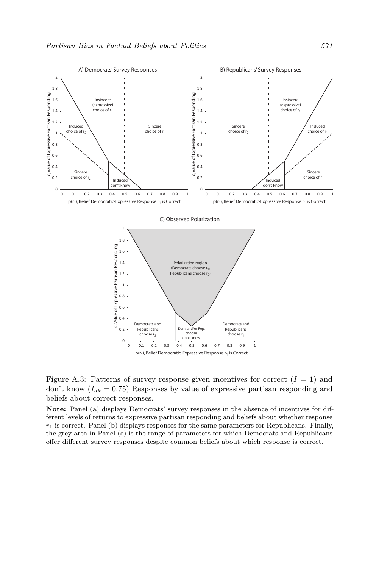

 $p(r_1)$ , Belief Democratic-Expressive Response  $r_1$  is Correct

Figure A.3: Patterns of survey response given incentives for correct  $(I = 1)$  and don't know  $(I_{dk} = 0.75)$  Responses by value of expressive partisan responding and beliefs about correct responses.

Note: Panel (a) displays Democrats' survey responses in the absence of incentives for different levels of returns to expressive partisan responding and beliefs about whether response  $r_1$  is correct. Panel (b) displays responses for the same parameters for Republicans. Finally, the grey area in Panel (c) is the range of parameters for which Democrats and Republicans offer different survey responses despite common beliefs about which response is correct.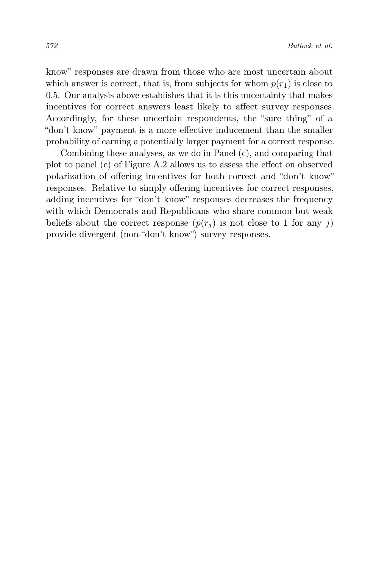know" responses are drawn from those who are most uncertain about which answer is correct, that is, from subjects for whom  $p(r_1)$  is close to 0.5. Our analysis above establishes that it is this uncertainty that makes incentives for correct answers least likely to affect survey responses. Accordingly, for these uncertain respondents, the "sure thing" of a "don't know" payment is a more effective inducement than the smaller probability of earning a potentially larger payment for a correct response.

Combining these analyses, as we do in Panel (c), and comparing that plot to panel (c) of Figure A.2 allows us to assess the effect on observed polarization of offering incentives for both correct and "don't know" responses. Relative to simply offering incentives for correct responses, adding incentives for "don't know" responses decreases the frequency with which Democrats and Republicans who share common but weak beliefs about the correct response  $(p(r_i)$  is not close to 1 for any j) provide divergent (non-"don't know") survey responses.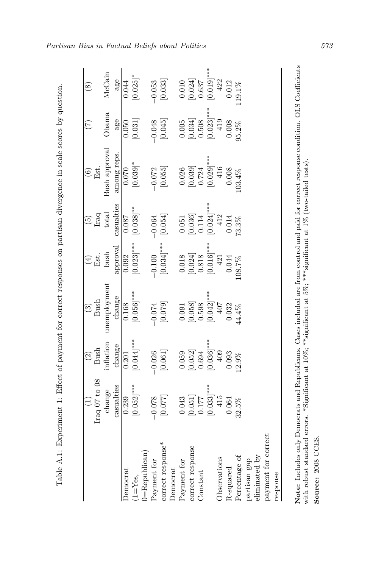| i<br>i                                                                                                                                            |
|---------------------------------------------------------------------------------------------------------------------------------------------------|
|                                                                                                                                                   |
| ١<br>l<br>$\ddot{\rm}$<br>ì<br>j<br>֪֧֪֪֧֪֧֧֪֧֪֧֪֧֪֪ׅ֧֪֪֪֧֪֪֪֪֧֡֓֓֓֡֓֓֡֬֓֓֬֓֓֓֓֡֬֓֓֬֓֓֬֓֓֝֬֓֓֬֓֝֬֓֓֓֓֓֝֬֓֓֬֓֓֓֝֬֓֓֓֓<br>l<br>١                    |
| 3<br>å<br>J<br>j                                                                                                                                  |
| $\ddot{\phantom{a}}$<br>֦֦֦֧֦֧֦֧֦֧֦֧ׅ֦ׅ֪ׅ֪֦֪֪֪ׅ֚֚֚֡֝֬֜֓֡֬֜֓֡֬֝֬֓֞֬                                                                                |
| j<br>1<br>j<br>Ş<br>i<br>֦<br>į                                                                                                                   |
|                                                                                                                                                   |
| ë<br>j<br>֚֚֬֝֕֬֝֬֝֬֝֬֝֬֝֬֝֬֝֬֝֬֝֬֝֬֝֬֝֬֝֬֝֬֝֬֝֬֝֓֬֝֬֝֬<br>i<br>i<br>í                                                                            |
| S<br>C                                                                                                                                            |
| ł<br>١<br>j<br>į<br>j<br>i<br>)<br>)<br>j                                                                                                         |
| ١<br>i<br>۱<br>į<br>i<br>ì<br>j                                                                                                                   |
| ì                                                                                                                                                 |
| i<br>Santa Caraca (<br>i<br>í<br>l                                                                                                                |
| j<br>١                                                                                                                                            |
| t<br>Ϊ<br>۱<br>ĵ<br>$\frac{1}{2}$<br>I                                                                                                            |
| i                                                                                                                                                 |
| j<br>֪֦֪֪֦֧֦֧֚֚֞֝֜֝֜֝֝֜֝֝֬֝֝֓֟֜֓֓֜֝֓֟<br>j<br>ì<br>i                                                                                              |
| -<br>-<br>-<br>-<br>-<br>-<br>-<br>-<br><br>-<br><br><br><br><br><br><br><br><br><br><br><br><br><br><br><br><br><br><br>$\overline{1}$<br>)<br>) |
| ֧֧֧֧֧֧֧֧֧֪֪ׅ֧֚֚֚֚֚֚֚֚֚֚֚֚֚֚֚֚֚֚֚֚֚֚֚֚֚֚֚֚֡֝֡֡֡֡֡֡֡֬֓֝֬֝֓֝֬֝֬֝֬֝֬֝֬֝֬֝֬<br>I                                                                       |
| I<br>i<br>f<br>l                                                                                                                                  |
| $\frac{1}{2}$                                                                                                                                     |
| j<br>J<br>ļ<br>I<br>י                                                                                                                             |
|                                                                                                                                                   |

<span id="page-54-0"></span>

|                       | Iraq 07 to 08                                  | $Bush$<br>$\widehat{\Omega}$ | $\frac{(3)}{3}$                                | Est.<br>$\bigoplus$                                                   | Iraq<br>$\widetilde{5}$ | Est.<br>$\widehat{\circ}$ | $\widetilde{(\mathcal{L})}$                    | $\overline{\mathcal{L}}$                                              |
|-----------------------|------------------------------------------------|------------------------------|------------------------------------------------|-----------------------------------------------------------------------|-------------------------|---------------------------|------------------------------------------------|-----------------------------------------------------------------------|
|                       | change                                         | inflation                    | unemployment                                   | bush                                                                  | total                   | Bush approval             | Obama                                          | McCain                                                                |
|                       | casualties                                     | change                       | change                                         | approval                                                              | casualties              | among reps.               | age                                            | age                                                                   |
| Democrat              | 0.239                                          | 0.201                        | 0.168                                          | 0.092                                                                 | 0.087                   | 0.070                     | 0.050                                          | 0.044                                                                 |
| $(1 = Y_{\text{es}})$ | $[0.052]$ ***                                  | $[0.044]$ ***                | $[0.056]$ ***                                  | $0.023$ ]***                                                          | $[0.038]$ **            | $[0.039]$ *               | [0.031]                                        | $[0.025]$ *                                                           |
| $0 =$ Republican $)$  |                                                |                              |                                                |                                                                       |                         |                           |                                                |                                                                       |
| Payment for           | $-0.078$                                       | $-0.026$                     | $-0.074\,$                                     | $-0.100$                                                              | $-0.064$                | $-0.072$                  | $-0.048$                                       | $-0.053$                                                              |
| correct response*     | $\left[0.077\right]$                           | $\left[ 0.061\right]$        | [0.079]                                        | $[0.034]$ ***                                                         | [0.054]                 | $\left[0.055\right]$      | [0.045]                                        | $\left[ 0.033\right]$                                                 |
| Democrat              |                                                |                              |                                                |                                                                       |                         |                           |                                                |                                                                       |
| Payment for           | 0.043                                          | 0.059                        | 0.091                                          |                                                                       | 0.051                   | 0.026                     | 0.005                                          |                                                                       |
| correct response      | $\begin{bmatrix} 0.051 \\ 0.177 \end{bmatrix}$ | $[0.052]$<br>$0.694$         | $\begin{bmatrix} 0.058 \\ 0.598 \end{bmatrix}$ | $\begin{array}{c} 0.018 \\ \left[ 0.024 \right] \\ 0.818 \end{array}$ | $[0.036]$<br>$0.114$    | $[0.039]$<br>$0.724$      | $\begin{bmatrix} 0.034 \\ 0.508 \end{bmatrix}$ | $\begin{array}{c} 0.010 \\ \left[ 0.024 \right] \\ 0.637 \end{array}$ |
| Constant              |                                                |                              |                                                |                                                                       |                         |                           |                                                |                                                                       |
|                       | $[0.033]$ ***                                  | $0.036$ <sup>***</sup>       | $[0.042]$ ***<br>407                           | $[0.016]$ ***                                                         | $[0.024]$ ***           |                           | $0.023$ <sup>***</sup>                         | $[0.019]^{\ast\ast\ast}$                                              |
| Observations          | 415                                            | $409$                        |                                                | $421\,$                                                               | $412\,$                 | $[0.029]$ ***<br>416      | 419                                            | 422                                                                   |
| R-squared             | 0.064                                          | 0.093                        | 0.032                                          | 0.044                                                                 | 0.014                   | 0.008                     | 0.008                                          | 0.012                                                                 |
| Percentage of         | 32.5%                                          | 12.9%                        | $14.4\%$                                       | 08.7%                                                                 | 73.3%                   | 103.4%                    | $95.2\%$                                       | 119.1%                                                                |
| partisan gap          |                                                |                              |                                                |                                                                       |                         |                           |                                                |                                                                       |
| eliminated by         |                                                |                              |                                                |                                                                       |                         |                           |                                                |                                                                       |
| payment for correct   |                                                |                              |                                                |                                                                       |                         |                           |                                                |                                                                       |
| response              |                                                |                              |                                                |                                                                       |                         |                           |                                                |                                                                       |
|                       |                                                |                              |                                                |                                                                       |                         |                           |                                                |                                                                       |

Note: Includes only Democrats and Republicans. Cases included are from control and paid for correct response condition. OLS Coefficients with robust standard errors. \*Significant at  $10\%$ , \*\*significant at  $5\%$ , \*\*\*sign Note: Includes only Democrats and Republicans. Cases included are from control and paid for correct response condition. OLS Coefficients with robust standard errors. \*Significant at 10%; \*\*significant at 5%; \*\*\*significant at 1% (two-tailed tests).

Source: 2008 CCES. Source: 2008 CCES.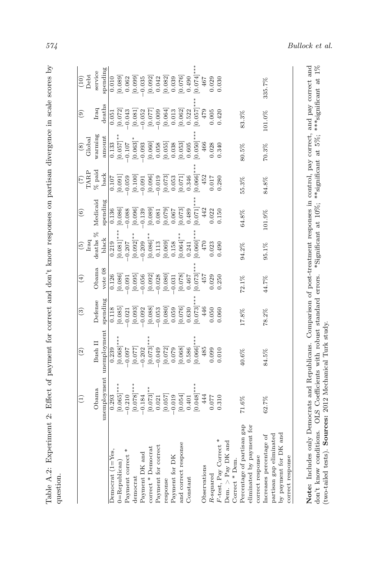| ׇ֘֒                                                                                                                                                                                                                                 |  |
|-------------------------------------------------------------------------------------------------------------------------------------------------------------------------------------------------------------------------------------|--|
|                                                                                                                                                                                                                                     |  |
| Ì<br>j                                                                                                                                                                                                                              |  |
| ļ                                                                                                                                                                                                                                   |  |
| $\ddot{\phantom{0}}$<br>í                                                                                                                                                                                                           |  |
| į<br>is a company of the company of the company of the company of the company of the company of the company of the company of the company of the company of the company of the company of the company of the company of the company |  |
| i<br>noon on nortic                                                                                                                                                                                                                 |  |
|                                                                                                                                                                                                                                     |  |
| i<br>ׇׇ֕֕֡                                                                                                                                                                                                                          |  |
| <br>;<br>ו                                                                                                                                                                                                                          |  |
| I                                                                                                                                                                                                                                   |  |
| 1<br>}<br>}<br>i                                                                                                                                                                                                                    |  |
| l                                                                                                                                                                                                                                   |  |
| きっこうきょう                                                                                                                                                                                                                             |  |
|                                                                                                                                                                                                                                     |  |
| $+ -$<br>i                                                                                                                                                                                                                          |  |
|                                                                                                                                                                                                                                     |  |
| j<br>l                                                                                                                                                                                                                              |  |
|                                                                                                                                                                                                                                     |  |
| i<br>'                                                                                                                                                                                                                              |  |
| i<br>I                                                                                                                                                                                                                              |  |
|                                                                                                                                                                                                                                     |  |
| ֖֖֧ׅׅׅ֖֧֧ׅ֖֧֪֪ׅ֚֚֚֚֚֚֚֚֚֚֚֚֚֚֚֚֚֚֚֚֚֚֚֚֚֚֚֚֡֝֡֓֞֝֬֓֡֞֝֓֞֝֬֓֞֝֓֞֞֓                                                                                                                                                                   |  |
| Ē<br>E<br>ı                                                                                                                                                                                                                         |  |

<span id="page-55-0"></span>

|                                                                             | $\widehat{\Xi}$                                | $\widehat{\mathfrak{D}}$ | ි)       | $\left( 4\right)$                                           | $\widehat{\mathbf{e}}$  | $\widehat{\circ}$                                                                      | $\widehat{(\mathcal{I})}$                                         | $\circledast$         | $\widehat{e}$        | (10)                                                               |
|-----------------------------------------------------------------------------|------------------------------------------------|--------------------------|----------|-------------------------------------------------------------|-------------------------|----------------------------------------------------------------------------------------|-------------------------------------------------------------------|-----------------------|----------------------|--------------------------------------------------------------------|
|                                                                             |                                                |                          |          |                                                             | $_{\rm Iraq}$           |                                                                                        | TARP                                                              | Global                |                      | Debt                                                               |
|                                                                             | Obama                                          | Bush II                  | Defense  | Obama                                                       | deaths $\%$             | Medicaid                                                                               | $\%$ paid                                                         | warming               | Iraq                 | service                                                            |
|                                                                             | unemployment                                   | unemployment             | spending | vote 08                                                     | black                   | spending                                                                               | back                                                              | amount                | deaths               | spending                                                           |
| Democrat $(1 = Yes.$                                                        | 0.293                                          | 0.239                    | 0.118    |                                                             | 0.219                   |                                                                                        |                                                                   | 0.133                 | 0.051                | 0.010                                                              |
| 0=Republican)                                                               | $[0.065]$ ***                                  | $[0.068]$ ***            | [0.085]  | [0.126]                                                     | $[0.081]$ **            |                                                                                        | $\begin{bmatrix} 0.107 \\ 0.091 \\ -0.059 \\ 0.100 \end{bmatrix}$ | $[0.057]$ **          | [0.072]              | $\begin{bmatrix} 0.089 \\ 0.062 \end{bmatrix}$                     |
| Payment correct                                                             | $-0.210$                                       | $-0.097$                 | $-0.021$ | $-0.091$                                                    | $-0.207$                |                                                                                        |                                                                   | $-0.107$              | $-0.043$             |                                                                    |
| democrat                                                                    | $[0.078]$ ***                                  | [770.077]                | [0.093]  | [0.095]                                                     | $[0.092]$ **            | $\begin{array}{r} 0.136 \\ 0.086] \\ -0.088 \\ \hline 0.096] \\ -0.139 \\ \end{array}$ |                                                                   | $[0.063]$ *<br>-0.093 | $\left[0.081\right]$ | [0.099]                                                            |
| Payment DK and                                                              | $-0.184$                                       | $-0.202$                 | $-0.092$ | $-0.056$                                                    | $-0.209$                |                                                                                        | $-0.091$                                                          |                       | $-0.052$             |                                                                    |
| correct * Democrat                                                          | $[0.073]^{**}$<br>0.021                        | $[0.073]$ *              | [0.088]  | $\begin{bmatrix} 0.092 \\ -0.028 \\ 0.080 \\ \end{bmatrix}$ | $[0.086]^{**}$<br>0.113 | $[0.089]$<br>$0.081$                                                                   | $[0.096]$<br>$-0.019$<br>$[0.073]$                                | [0.060]0.058          | [0.077]              | $\begin{array}{c} [0.092] \\ 0.042 \\ 0.082] \\ 0.039 \end{array}$ |
| Payment for correct                                                         |                                                | $-0.049$                 | $-0.053$ |                                                             |                         |                                                                                        |                                                                   |                       | $-0.009$             |                                                                    |
| response                                                                    | $\begin{bmatrix} 0.057 \\ 750.0 \end{bmatrix}$ | [0.072]                  | [0.080]  |                                                             | [0.069]                 | [6.079]                                                                                |                                                                   | [0.055]               | [0.064]              |                                                                    |
| Payment for DK                                                              |                                                | 0.079                    | 0.059    | $-0.031$                                                    | 0.158                   |                                                                                        | [0.053]                                                           | 0.038                 | 0.013                |                                                                    |
| and correct response                                                        | [0.054]                                        | [0.068]                  | [0.076]  | [0.078]                                                     | $[0.064]$ **            | [0.073]                                                                                |                                                                   | [0.053]               | [0.062]              | [0.076]                                                            |
| Constant                                                                    | 0.401                                          | 0.586                    | 0.630    | 0.467                                                       | 0.241                   | 0.489                                                                                  | 0.346                                                             | 0.605                 | 0.522                | 0.490                                                              |
|                                                                             | $[0.048]$ ***                                  | [0.066]                  | [0.073]  | [0.073]                                                     | [0.060]                 | [0.071]                                                                                | [990.0]                                                           | [0.050]               | [0.057]              | $[0.074]$ *                                                        |
| Observations                                                                | 444                                            | 485                      | 446      | 457                                                         | 470                     | 442                                                                                    | 452                                                               | 466                   | 479                  | 467                                                                |
| R-squared                                                                   | 0.077                                          | 0.099                    | 0.050    | 0.029                                                       | 0.023                   | 0.022                                                                                  | 0.017                                                             | 0.028                 | 0.005                | 0.029                                                              |
| F-test, Pay Correct                                                         | 0.310                                          | 0.010                    | 0.060    | 0.250                                                       | 0.490                   | 0.150                                                                                  | 0.280                                                             | 0.340                 | 0.420                | 0.030                                                              |
| Dem. $>$ Pay DK and<br>Correct * Dem.                                       |                                                |                          |          |                                                             |                         |                                                                                        |                                                                   |                       |                      |                                                                    |
| Percentage of partisan gap                                                  | $71.6\%$                                       | 40.6%                    | 17.8%    | $72.1\%$                                                    | 94.2%                   | $64.8\%$                                                                               | 55.3%                                                             | 80.5%                 | 83.3%                |                                                                    |
| eliminated by payment for                                                   |                                                |                          |          |                                                             |                         |                                                                                        |                                                                   |                       |                      |                                                                    |
| correct response                                                            |                                                |                          |          |                                                             |                         |                                                                                        |                                                                   |                       |                      |                                                                    |
| by payment for DK and<br>partisan gap eliminated<br>Increases percentage of | 62.7%                                          | 84.5%                    | 78.2%    | $44.7\%$                                                    | 95.1%                   | 101.9%                                                                                 | 84.8%                                                             | $70.3\%$              | 101.0%               | 335.7%                                                             |
| correct response                                                            |                                                |                          |          |                                                             |                         |                                                                                        |                                                                   |                       |                      |                                                                    |

don't know conditions. OLS Coefficients with robust standard errors. \*Significant at  $10\%$ ; \*\*significant at  $5\%$ ; \*\*\*significant at  $1\%$  (two-tailed tests). Sources: 2012 Mechanical Turk study. Note: Includes only Democrats and Republicans. Comparison of post-treatment responses in control, pay correct, and pay correct and don't know conditions. OLS Coefficients with robust standard errors. \*Significant at 10%; \*\*significant at 5%; \*\*\*significant at 1% $\frac{1}{N}$ (two-tailed tests). Sources: 2012 Mechanical Turk study.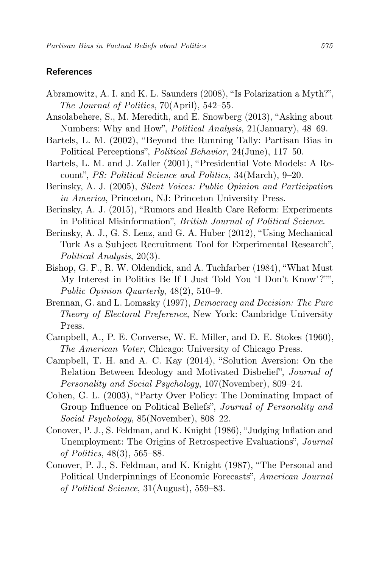## **References**

- Abramowitz, A. I. and K. L. Saunders (2008), "Is Polarization a Myth?", The Journal of Politics, 70(April), 542–55.
- Ansolabehere, S., M. Meredith, and E. Snowberg (2013), "Asking about Numbers: Why and How", Political Analysis, 21(January), 48–69.
- Bartels, L. M. (2002), "Beyond the Running Tally: Partisan Bias in Political Perceptions", Political Behavior, 24(June), 117–50.
- Bartels, L. M. and J. Zaller (2001), "Presidential Vote Models: A Recount", PS: Political Science and Politics, 34(March), 9–20.
- Berinsky, A. J. (2005), Silent Voices: Public Opinion and Participation in America, Princeton, NJ: Princeton University Press.
- Berinsky, A. J. (2015), "Rumors and Health Care Reform: Experiments in Political Misinformation", British Journal of Political Science.
- Berinsky, A. J., G. S. Lenz, and G. A. Huber (2012), "Using Mechanical Turk As a Subject Recruitment Tool for Experimental Research", Political Analysis, 20(3).
- Bishop, G. F., R. W. Oldendick, and A. Tuchfarber (1984), "What Must My Interest in Politics Be If I Just Told You 'I Don't Know'?"", Public Opinion Quarterly, 48(2), 510–9.
- Brennan, G. and L. Lomasky (1997), Democracy and Decision: The Pure Theory of Electoral Preference, New York: Cambridge University Press.
- Campbell, A., P. E. Converse, W. E. Miller, and D. E. Stokes (1960), The American Voter, Chicago: University of Chicago Press.
- Campbell, T. H. and A. C. Kay (2014), "Solution Aversion: On the Relation Between Ideology and Motivated Disbelief", Journal of Personality and Social Psychology, 107(November), 809–24.
- Cohen, G. L. (2003), "Party Over Policy: The Dominating Impact of Group Influence on Political Beliefs", Journal of Personality and Social Psychology, 85(November), 808–22.
- Conover, P. J., S. Feldman, and K. Knight (1986), "Judging Inflation and Unemployment: The Origins of Retrospective Evaluations", Journal of Politics, 48(3), 565–88.
- Conover, P. J., S. Feldman, and K. Knight (1987), "The Personal and Political Underpinnings of Economic Forecasts", American Journal of Political Science, 31(August), 559–83.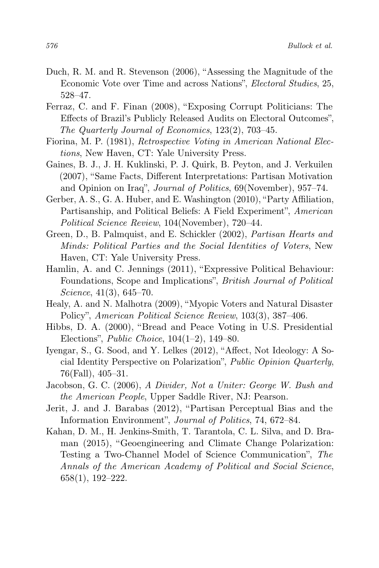- Duch, R. M. and R. Stevenson (2006), "Assessing the Magnitude of the Economic Vote over Time and across Nations", Electoral Studies, 25, 528–47.
- Ferraz, C. and F. Finan (2008), "Exposing Corrupt Politicians: The Effects of Brazil's Publicly Released Audits on Electoral Outcomes", The Quarterly Journal of Economics, 123(2), 703–45.
- Fiorina, M. P. (1981), Retrospective Voting in American National Elections, New Haven, CT: Yale University Press.
- Gaines, B. J., J. H. Kuklinski, P. J. Quirk, B. Peyton, and J. Verkuilen (2007), "Same Facts, Different Interpretations: Partisan Motivation and Opinion on Iraq", Journal of Politics, 69(November), 957–74.
- Gerber, A. S., G. A. Huber, and E. Washington (2010), "Party Affiliation, Partisanship, and Political Beliefs: A Field Experiment", American Political Science Review, 104(November), 720–44.
- Green, D., B. Palmquist, and E. Schickler (2002), Partisan Hearts and Minds: Political Parties and the Social Identities of Voters, New Haven, CT: Yale University Press.
- Hamlin, A. and C. Jennings (2011), "Expressive Political Behaviour: Foundations, Scope and Implications", British Journal of Political Science, 41(3), 645–70.
- Healy, A. and N. Malhotra (2009), "Myopic Voters and Natural Disaster Policy", American Political Science Review, 103(3), 387–406.
- Hibbs, D. A. (2000), "Bread and Peace Voting in U.S. Presidential Elections", Public Choice, 104(1–2), 149–80.
- Iyengar, S., G. Sood, and Y. Lelkes (2012), "Affect, Not Ideology: A Social Identity Perspective on Polarization", Public Opinion Quarterly, 76(Fall), 405–31.
- Jacobson, G. C. (2006), A Divider, Not a Uniter: George W. Bush and the American People, Upper Saddle River, NJ: Pearson.
- Jerit, J. and J. Barabas (2012), "Partisan Perceptual Bias and the Information Environment", Journal of Politics, 74, 672–84.
- Kahan, D. M., H. Jenkins-Smith, T. Tarantola, C. L. Silva, and D. Braman (2015), "Geoengineering and Climate Change Polarization: Testing a Two-Channel Model of Science Communication", The Annals of the American Academy of Political and Social Science, 658(1), 192–222.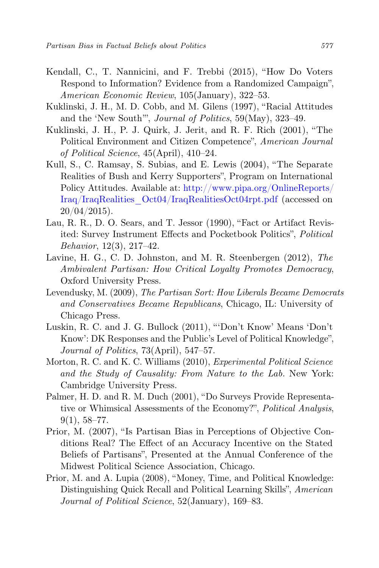- Kendall, C., T. Nannicini, and F. Trebbi (2015), "How Do Voters Respond to Information? Evidence from a Randomized Campaign", American Economic Review, 105(January), 322–53.
- Kuklinski, J. H., M. D. Cobb, and M. Gilens (1997), "Racial Attitudes and the 'New South'", Journal of Politics, 59(May), 323–49.
- Kuklinski, J. H., P. J. Quirk, J. Jerit, and R. F. Rich (2001), "The Political Environment and Citizen Competence", American Journal of Political Science, 45(April), 410–24.
- Kull, S., C. Ramsay, S. Subias, and E. Lewis (2004), "The Separate Realities of Bush and Kerry Supporters", Program on International Policy Attitudes. Available at: [http://www.pipa.org/OnlineReports/](http://www.pipa.org/OnlineReports/Iraq/IraqRealities_Oct04/IraqRealitiesOct04rpt.pdf) [Iraq/IraqRealities\\_Oct04/IraqRealitiesOct04rpt.pdf](http://www.pipa.org/OnlineReports/Iraq/IraqRealities_Oct04/IraqRealitiesOct04rpt.pdf) (accessed on 20/04/2015).
- Lau, R. R., D. O. Sears, and T. Jessor (1990), "Fact or Artifact Revisited: Survey Instrument Effects and Pocketbook Politics", Political Behavior, 12(3), 217–42.
- Lavine, H. G., C. D. Johnston, and M. R. Steenbergen (2012), The Ambivalent Partisan: How Critical Loyalty Promotes Democracy, Oxford University Press.
- Levendusky, M. (2009), The Partisan Sort: How Liberals Became Democrats and Conservatives Became Republicans, Chicago, IL: University of Chicago Press.
- Luskin, R. C. and J. G. Bullock (2011), "'Don't Know' Means 'Don't Know': DK Responses and the Public's Level of Political Knowledge", Journal of Politics, 73(April), 547–57.
- Morton, R. C. and K. C. Williams (2010), Experimental Political Science and the Study of Causality: From Nature to the Lab. New York: Cambridge University Press.
- Palmer, H. D. and R. M. Duch (2001), "Do Surveys Provide Representative or Whimsical Assessments of the Economy?", Political Analysis,  $9(1), 58-77.$
- Prior, M. (2007), "Is Partisan Bias in Perceptions of Objective Conditions Real? The Effect of an Accuracy Incentive on the Stated Beliefs of Partisans", Presented at the Annual Conference of the Midwest Political Science Association, Chicago.
- Prior, M. and A. Lupia (2008), "Money, Time, and Political Knowledge: Distinguishing Quick Recall and Political Learning Skills", American Journal of Political Science, 52(January), 169–83.